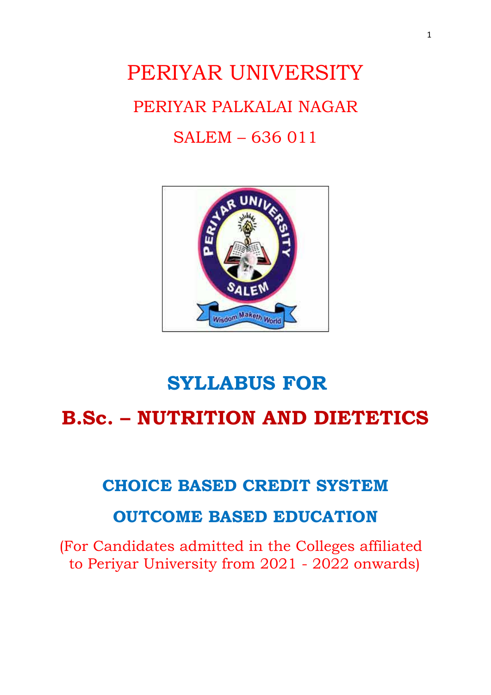# PERIYAR UNIVERSITY PERIYAR PALKALAI NAGAR SALEM – 636 011



# **SYLLABUS FOR B.Sc. – NUTRITION AND DIETETICS**

# **CHOICE BASED CREDIT SYSTEM**

# **OUTCOME BASED EDUCATION**

(For Candidates admitted in the Colleges affiliated to Periyar University from 2021 - 2022 onwards)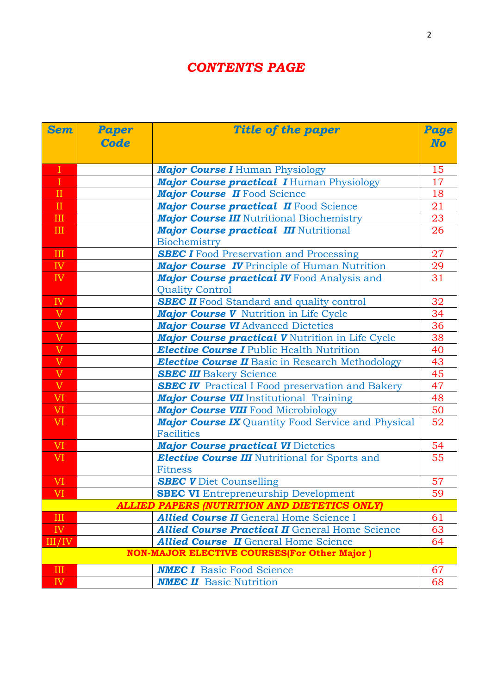# *CONTENTS PAGE*

| <b>Sem</b>                                                | <b>Paper</b> | Title of the paper                                        | Page      |
|-----------------------------------------------------------|--------------|-----------------------------------------------------------|-----------|
|                                                           | Code         |                                                           | <b>No</b> |
|                                                           |              |                                                           |           |
| $\rm I$                                                   |              | <b>Major Course I</b> Human Physiology                    | 15        |
| $\mathbf{I}$                                              |              | <b>Major Course practical I Human Physiology</b>          | 17        |
| $\;$ II                                                   |              | Major Course II Food Science                              | 18        |
| $\mathbf{I}$                                              |              | Major Course practical II Food Science                    | 21        |
| III                                                       |              | <b>Major Course III</b> Nutritional Biochemistry          | 23        |
| Ш                                                         |              | <b>Major Course practical III Nutritional</b>             | 26        |
|                                                           |              | Biochemistry                                              |           |
| $\mathbf{III}$                                            |              | <b>SBEC I</b> Food Preservation and Processing            | 27        |
| IV                                                        |              | <b>Major Course IV</b> Principle of Human Nutrition       | 29        |
| IV                                                        |              | <b>Major Course practical IV</b> Food Analysis and        | 31        |
|                                                           |              | <b>Quality Control</b>                                    |           |
| IV                                                        |              | <b>SBEC II</b> Food Standard and quality control          | 32        |
| $\frac{V}{V}$                                             |              | Major Course V Nutrition in Life Cycle                    | 34        |
|                                                           |              | <b>Major Course VI Advanced Dietetics</b>                 | 36        |
| $\begin{array}{c} \nV \\ \nV \\ \nV \\ \nV \n\end{array}$ |              | Major Course practical V Nutrition in Life Cycle          | 38        |
|                                                           |              | <b>Elective Course I</b> Public Health Nutrition          | 40        |
|                                                           |              | <b>Elective Course II</b> Basic in Research Methodology   | 43        |
|                                                           |              | <b>SBEC III</b> Bakery Science                            | 45        |
| $\overline{V}$                                            |              | <b>SBEC IV</b> Practical I Food preservation and Bakery   | 47        |
| VI                                                        |              | <b>Major Course VII</b> Institutional Training            | 48        |
| VI <sub>1</sub>                                           |              | <b>Major Course VIII</b> Food Microbiology                | 50        |
| VI <sub></sub>                                            |              | <b>Major Course IX</b> Quantity Food Service and Physical | 52        |
|                                                           |              | <b>Facilities</b>                                         |           |
| <b>VI</b>                                                 |              | <b>Major Course practical VI Dietetics</b>                | 54        |
| VI <sub></sub>                                            |              | <b>Elective Course III</b> Nutritional for Sports and     | 55        |
|                                                           |              | <b>Fitness</b>                                            |           |
| <b>VI</b>                                                 |              | <b>SBEC V</b> Diet Counselling                            | 57        |
| VI                                                        |              | <b>SBEC VI</b> Entrepreneurship Development               | 59        |
|                                                           |              | <b>ALLIED PAPERS (NUTRITION AND DIETETICS ONLY)</b>       |           |
| III                                                       |              | <b>Allied Course II</b> General Home Science I            | 61        |
| IV                                                        |              | <b>Allied Course Practical II</b> General Home Science    | 63        |
| III/IV                                                    |              | <b>Allied Course II</b> General Home Science              | 64        |
|                                                           |              | <b>NON-MAJOR ELECTIVE COURSES(For Other Major)</b>        |           |
| $\mathbf{III}$                                            |              | <b>NMEC I</b> Basic Food Science                          | 67        |
| IV                                                        |              | <b>NMEC II</b> Basic Nutrition                            | 68        |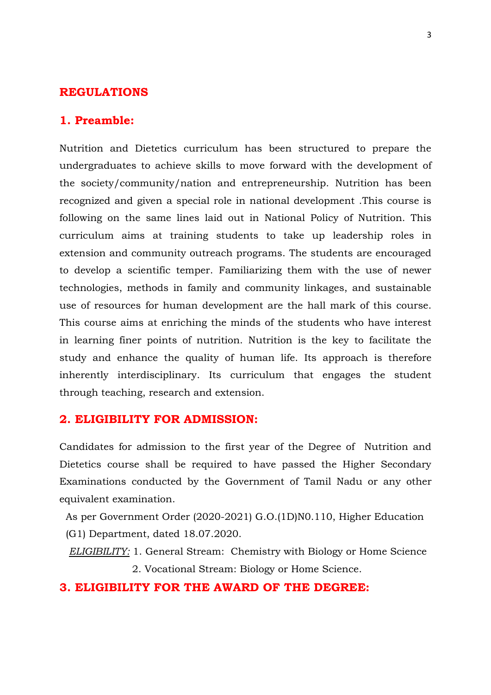### **REGULATIONS**

### **1. Preamble:**

Nutrition and Dietetics curriculum has been structured to prepare the undergraduates to achieve skills to move forward with the development of the society/community/nation and entrepreneurship. Nutrition has been recognized and given a special role in national development .This course is following on the same lines laid out in National Policy of Nutrition. This curriculum aims at training students to take up leadership roles in extension and community outreach programs. The students are encouraged to develop a scientific temper. Familiarizing them with the use of newer technologies, methods in family and community linkages, and sustainable use of resources for human development are the hall mark of this course. This course aims at enriching the minds of the students who have interest in learning finer points of nutrition. Nutrition is the key to facilitate the study and enhance the quality of human life. Its approach is therefore inherently interdisciplinary. Its curriculum that engages the student through teaching, research and extension.

### **2. ELIGIBILITY FOR ADMISSION:**

Candidates for admission to the first year of the Degree of Nutrition and Dietetics course shall be required to have passed the Higher Secondary Examinations conducted by the Government of Tamil Nadu or any other equivalent examination.

As per Government Order (2020-2021) G.O.(1D)N0.110, Higher Education

(G1) Department, dated 18.07.2020.

 *ELIGIBILITY:* 1. General Stream: Chemistry with Biology or Home Science 2. Vocational Stream: Biology or Home Science.

### **3. ELIGIBILITY FOR THE AWARD OF THE DEGREE:**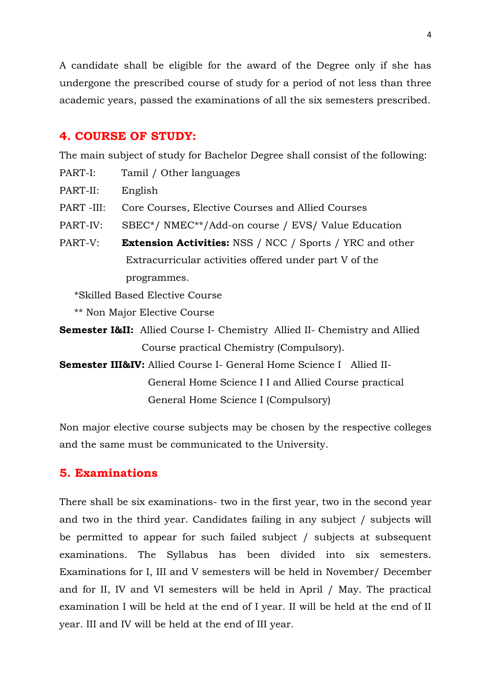A candidate shall be eligible for the award of the Degree only if she has undergone the prescribed course of study for a period of not less than three academic years, passed the examinations of all the six semesters prescribed.

### **4. COURSE OF STUDY:**

The main subject of study for Bachelor Degree shall consist of the following:

- PART-I: Tamil / Other languages
- PART-II: English
- PART -III: Core Courses, Elective Courses and Allied Courses
- PART-IV: SBEC\*/ NMEC\*\*/Add-on course / EVS/ Value Education
- PART-V: **Extension Activities:** NSS / NCC / Sports / YRC and other Extracurricular activities offered under part V of the programmes.

\*Skilled Based Elective Course

\*\* Non Major Elective Course

- **Semester I&II:** Allied Course I- Chemistry Allied II- Chemistry and Allied Course practical Chemistry (Compulsory).
- **Semester III&IV:** Allied Course I- General Home Science I Allied II- General Home Science I I and Allied Course practical General Home Science I (Compulsory)

Non major elective course subjects may be chosen by the respective colleges and the same must be communicated to the University.

### **5. Examinations**

There shall be six examinations- two in the first year, two in the second year and two in the third year. Candidates failing in any subject / subjects will be permitted to appear for such failed subject / subjects at subsequent examinations. The Syllabus has been divided into six semesters. Examinations for I, III and V semesters will be held in November/ December and for II, IV and VI semesters will be held in April / May. The practical examination I will be held at the end of I year. II will be held at the end of II year. III and IV will be held at the end of III year.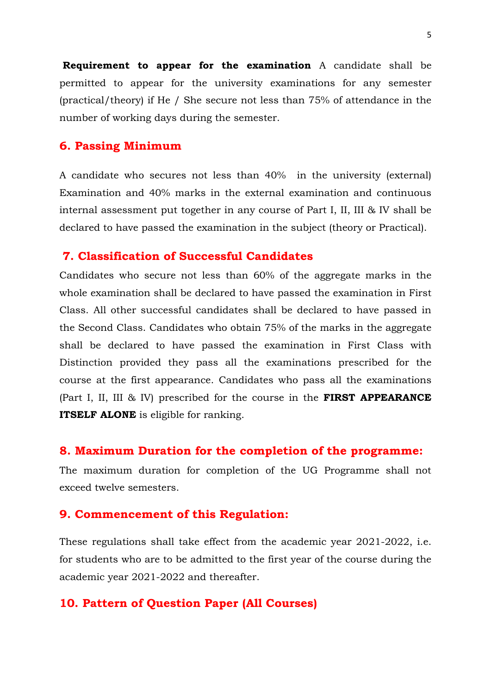**Requirement to appear for the examination** A candidate shall be permitted to appear for the university examinations for any semester (practical/theory) if He / She secure not less than 75% of attendance in the number of working days during the semester.

### **6. Passing Minimum**

A candidate who secures not less than 40% in the university (external) Examination and 40% marks in the external examination and continuous internal assessment put together in any course of Part I, II, III & IV shall be declared to have passed the examination in the subject (theory or Practical).

### **7. Classification of Successful Candidates**

Candidates who secure not less than 60% of the aggregate marks in the whole examination shall be declared to have passed the examination in First Class. All other successful candidates shall be declared to have passed in the Second Class. Candidates who obtain 75% of the marks in the aggregate shall be declared to have passed the examination in First Class with Distinction provided they pass all the examinations prescribed for the course at the first appearance. Candidates who pass all the examinations (Part I, II, III & IV) prescribed for the course in the **FIRST APPEARANCE ITSELF ALONE** is eligible for ranking.

### **8. Maximum Duration for the completion of the programme:**

The maximum duration for completion of the UG Programme shall not exceed twelve semesters.

### **9. Commencement of this Regulation:**

These regulations shall take effect from the academic year 2021-2022, i.e. for students who are to be admitted to the first year of the course during the academic year 2021-2022 and thereafter.

### **10. Pattern of Question Paper (All Courses)**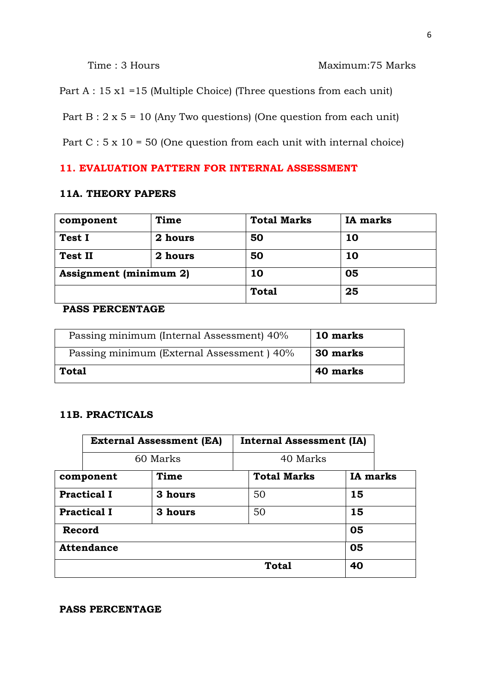### Time : 3 Hours Maximum: 75 Marks

Part A : 15 x1 =15 (Multiple Choice) (Three questions from each unit)

Part  $B: 2 \times 5 = 10$  (Any Two questions) (One question from each unit)

Part  $C : 5 x 10 = 50$  (One question from each unit with internal choice)

### **11. EVALUATION PATTERN FOR INTERNAL ASSESSMENT**

### **11A. THEORY PAPERS**

| component                     | Time    | <b>Total Marks</b> | <b>IA</b> marks |
|-------------------------------|---------|--------------------|-----------------|
| Test I                        | 2 hours | 50                 | 10              |
| <b>Test II</b>                | 2 hours | 50                 | 10              |
| <b>Assignment</b> (minimum 2) |         | 10                 | 05              |
|                               |         | <b>Total</b>       | 25              |

### **PASS PERCENTAGE**

| Passing minimum (Internal Assessment) 40% | 10 marks |
|-------------------------------------------|----------|
| Passing minimum (External Assessment) 40% | 30 marks |
| Total                                     | 40 marks |

### **11B. PRACTICALS**

|        | <b>External Assessment (EA)</b> |          | <b>Internal Assessment (IA)</b> |                 |  |
|--------|---------------------------------|----------|---------------------------------|-----------------|--|
|        |                                 | 60 Marks | 40 Marks                        |                 |  |
|        | component                       | Time     | <b>Total Marks</b>              | <b>IA</b> marks |  |
|        | <b>Practical I</b>              | 3 hours  | 50                              | 15              |  |
|        | <b>Practical I</b>              | 3 hours  | 50                              | 15              |  |
| Record |                                 |          |                                 | 05              |  |
|        | <b>Attendance</b>               |          |                                 | 05              |  |
|        |                                 |          | <b>Total</b>                    | 40              |  |

### **PASS PERCENTAGE**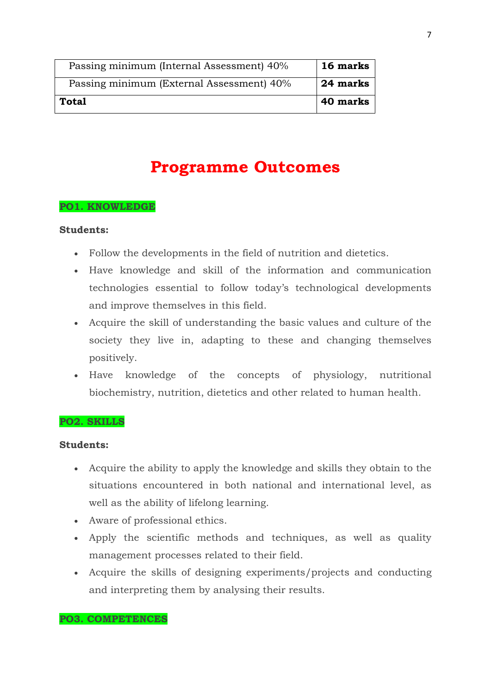| Passing minimum (Internal Assessment) 40% | 16 marks |
|-------------------------------------------|----------|
| Passing minimum (External Assessment) 40% | 24 marks |
| Total                                     | 40 marks |

# **Programme Outcomes**

### **PO1. KNOWLEDGE**

### **Students:**

- Follow the developments in the field of nutrition and dietetics.
- Have knowledge and skill of the information and communication technologies essential to follow today's technological developments and improve themselves in this field.
- Acquire the skill of understanding the basic values and culture of the society they live in, adapting to these and changing themselves positively.
- Have knowledge of the concepts of physiology, nutritional biochemistry, nutrition, dietetics and other related to human health.

### **PO2. SKILLS**

### **Students:**

- Acquire the ability to apply the knowledge and skills they obtain to the situations encountered in both national and international level, as well as the ability of lifelong learning.
- Aware of professional ethics.
- Apply the scientific methods and techniques, as well as quality management processes related to their field.
- Acquire the skills of designing experiments/projects and conducting and interpreting them by analysing their results.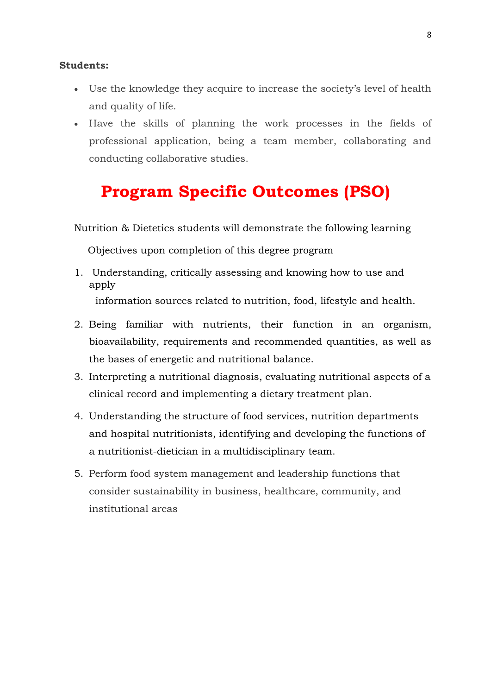#### **Students:**

- Use the knowledge they acquire to increase the society's level of health and quality of life.
- Have the skills of planning the work processes in the fields of professional application, being a team member, collaborating and conducting collaborative studies.

# **Program Specific Outcomes (PSO)**

Nutrition & Dietetics students will demonstrate the following learning

Objectives upon completion of this degree program

the bases of energetic and nutritional balance.

- 1. Understanding, critically assessing and knowing how to use and apply information sources related to nutrition, food, lifestyle and health.
- 2. Being familiar with nutrients, their function in an organism, bioavailability, requirements and recommended quantities, as well as
- 3. Interpreting a nutritional diagnosis, evaluating nutritional aspects of a clinical record and implementing a dietary treatment plan.
- 4. Understanding the structure of food services, nutrition departments and hospital nutritionists, identifying and developing the functions of a nutritionist-dietician in a multidisciplinary team.
- 5. Perform food system management and leadership functions that consider sustainability in business, healthcare, community, and institutional areas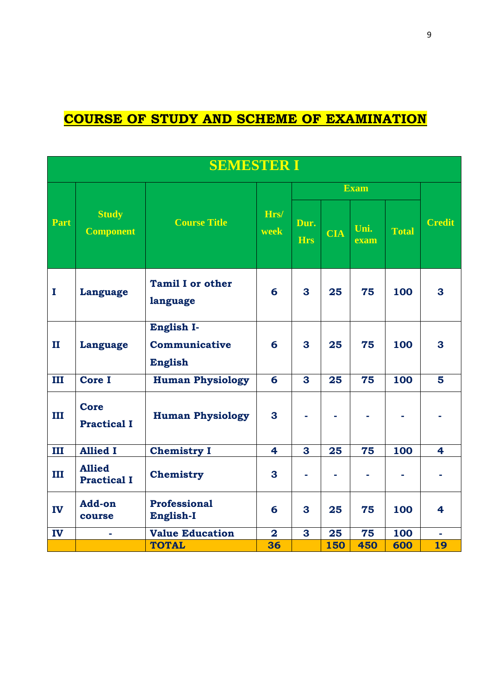# **COURSE OF STUDY AND SCHEME OF EXAMINATION**

|              | <b>SEMESTER I</b>                   |                                               |                         |                    |            |              |              |                         |
|--------------|-------------------------------------|-----------------------------------------------|-------------------------|--------------------|------------|--------------|--------------|-------------------------|
|              |                                     |                                               |                         |                    |            | <b>Exam</b>  |              |                         |
| Part         | <b>Study</b><br><b>Component</b>    | <b>Course Title</b>                           | Hrs/<br>week            | Dur.<br><b>Hrs</b> | <b>CIA</b> | Uni.<br>exam | <b>Total</b> | <b>Credit</b>           |
| $\mathbf{I}$ | <b>Language</b>                     | <b>Tamil I or other</b><br>language           | 6                       | $\mathbf{3}$       | 25         | 75           | 100          | $\mathbf{3}$            |
| $\mathbf{I}$ | <b>Language</b>                     | English I-<br>Communicative<br><b>English</b> | 6                       | 3                  | 25         | 75           | 100          | 3                       |
| Ш            | <b>Core I</b>                       | <b>Human Physiology</b>                       | 6                       | 3                  | 25         | 75           | 100          | 5                       |
| III          | <b>Core</b><br><b>Practical I</b>   | <b>Human Physiology</b>                       | 3                       |                    |            |              |              |                         |
| III          | <b>Allied I</b>                     | <b>Chemistry I</b>                            | $\overline{\mathbf{4}}$ | 3                  | 25         | 75           | 100          | $\overline{\mathbf{4}}$ |
| III          | <b>Allied</b><br><b>Practical I</b> | Chemistry                                     | 3                       |                    |            |              |              |                         |
| IV           | Add-on<br>course                    | Professional<br>English-I                     | 6                       | 3                  | 25         | 75           | 100          | 4                       |
| IV           |                                     | <b>Value Education</b>                        | $\overline{2}$          | 3                  | 25         | 75           | 100          |                         |
|              |                                     | <b>TOTAL</b>                                  | 36                      |                    | <b>150</b> | 450          | 600          | 19                      |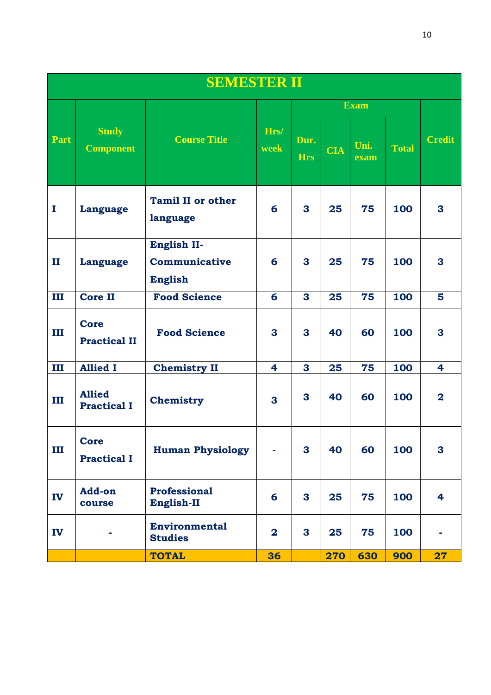| <b>SEMESTER II</b> |                                     |                                                |              |                    |            |              |       |                         |
|--------------------|-------------------------------------|------------------------------------------------|--------------|--------------------|------------|--------------|-------|-------------------------|
|                    |                                     |                                                |              |                    |            | <b>Exam</b>  |       |                         |
| Part               | <b>Study</b><br><b>Component</b>    | <b>Course Title</b>                            | Hrs/<br>week | Dur.<br><b>Hrs</b> | <b>CIA</b> | Uni.<br>exam | Total | <b>Credit</b>           |
| $\mathbf I$        | Language                            | <b>Tamil II or other</b><br>language           | 6            | $\mathbf{3}$       | 25         | 75           | 100   | $\mathbf{3}$            |
| $\mathbf{I}$       | Language                            | English II-<br>Communicative<br><b>English</b> | 6            | 3                  | 25         | 75           | 100   | 3                       |
| III                | <b>Core II</b>                      | <b>Food Science</b>                            | 6            | $\mathbf{3}$       | 25         | 75           | 100   | 5                       |
| Ш                  | <b>Core</b><br><b>Practical II</b>  | <b>Food Science</b>                            | 3            | $\mathbf{3}$       | 40         | 60           | 100   | 3                       |
| III                | <b>Allied I</b>                     | <b>Chemistry II</b>                            | 4            | 3                  | 25         | 75           | 100   | 4                       |
| Ш                  | <b>Allied</b><br><b>Practical I</b> | Chemistry                                      | 3            | 3                  | 40         | 60           | 100   | $\overline{\mathbf{2}}$ |
| III                | <b>Core</b><br><b>Practical I</b>   | <b>Human Physiology</b>                        |              | 3                  | 40         | 60           | 100   | $\mathbf{3}$            |
| IV                 | <b>Add-on</b><br>course             | Professional<br>English-II                     | 6            | 3                  | 25         | 75           | 100   | $\overline{\mathbf{4}}$ |
| IV                 |                                     | <b>Environmental</b><br><b>Studies</b>         | $\mathbf{2}$ | $\mathbf{3}$       | 25         | 75           | 100   |                         |
|                    |                                     | <b>TOTAL</b>                                   | 36           |                    | 270        | 630          | 900   | 27                      |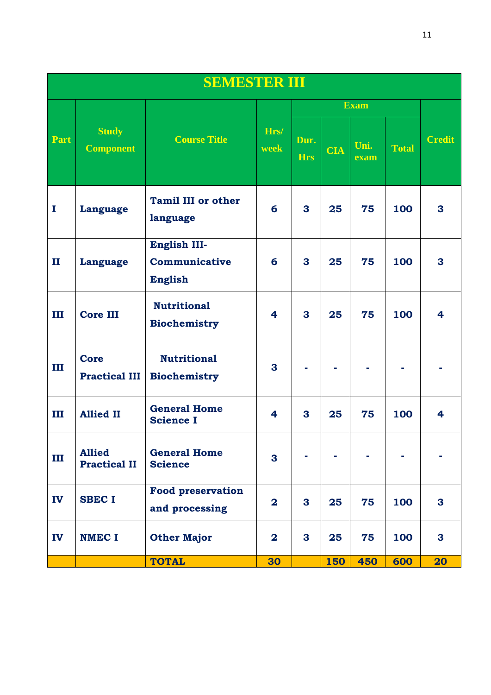|              | <b>SEMESTER III</b>                  |                                                 |                         |                    |            |              |              |                         |
|--------------|--------------------------------------|-------------------------------------------------|-------------------------|--------------------|------------|--------------|--------------|-------------------------|
|              |                                      |                                                 |                         |                    |            | <b>Exam</b>  |              |                         |
| Part         | <b>Study</b><br><b>Component</b>     | <b>Course Title</b>                             | Hrs/<br>week            | Dur.<br><b>Hrs</b> | <b>CIA</b> | Uni.<br>exam | <b>Total</b> | <b>Credit</b>           |
| $\mathbf I$  | Language                             | <b>Tamil III or other</b><br>language           | 6                       | $\mathbf{3}$       | 25         | 75           | 100          | $\mathbf{3}$            |
| $\mathbf{I}$ | Language                             | English III-<br>Communicative<br><b>English</b> | 6                       | $\mathbf{3}$       | 25         | 75           | 100          | 3                       |
| Ш            | <b>Core III</b>                      | <b>Nutritional</b><br><b>Biochemistry</b>       | $\overline{\mathbf{4}}$ | 3                  | 25         | 75           | 100          | $\overline{\mathbf{4}}$ |
| Ш            | <b>Core</b><br><b>Practical III</b>  | <b>Nutritional</b><br><b>Biochemistry</b>       | 3                       |                    |            |              |              |                         |
| Ш            | <b>Allied II</b>                     | <b>General Home</b><br><b>Science I</b>         | 4                       | $\mathbf{3}$       | 25         | 75           | 100          | $\overline{\mathbf{4}}$ |
| Ш            | <b>Allied</b><br><b>Practical II</b> | <b>General Home</b><br><b>Science</b>           | 3                       |                    |            |              |              |                         |
| IV           | <b>SBEC I</b>                        | <b>Food preservation</b><br>and processing      | $\overline{\mathbf{2}}$ | 3                  | 25         | 75           | 100          | 3                       |
| IV           | <b>NMEC I</b>                        | <b>Other Major</b>                              | $\bf{2}$                | 3                  | 25         | 75           | 100          | $\mathbf{3}$            |
|              |                                      | <b>TOTAL</b>                                    | 30                      |                    | 150        | 450          | 600          | 20                      |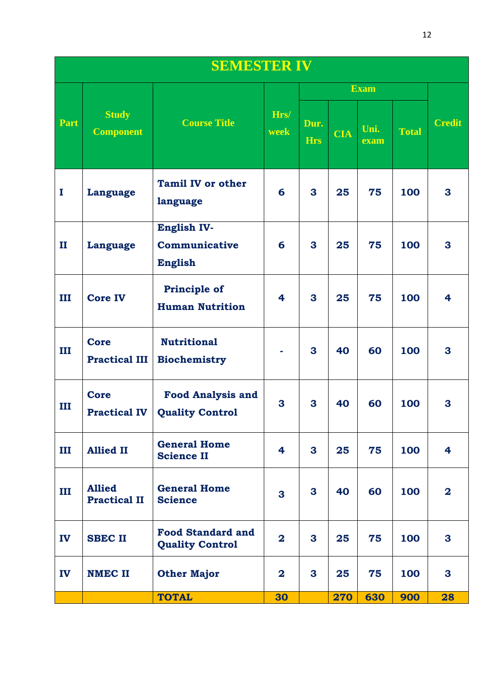|              | <b>SEMESTER IV</b>                   |                                                    |                         |                    |            |              |              |                         |
|--------------|--------------------------------------|----------------------------------------------------|-------------------------|--------------------|------------|--------------|--------------|-------------------------|
|              |                                      |                                                    |                         |                    |            | <b>Exam</b>  |              |                         |
| Part         | <b>Study</b><br><b>Component</b>     | <b>Course Title</b>                                | Hrs/<br>week            | Dur.<br><b>Hrs</b> | <b>CIA</b> | Uni.<br>exam | <b>Total</b> | <b>Credit</b>           |
| I            | <b>Language</b>                      | <b>Tamil IV or other</b><br>language               | 6                       | $\mathbf{3}$       | 25         | 75           | 100          | 3                       |
| $\mathbf{I}$ | <b>Language</b>                      | English IV-<br>Communicative<br><b>English</b>     | 6                       | 3                  | 25         | 75           | 100          | 3                       |
| ш            | <b>Core IV</b>                       | <b>Principle of</b><br><b>Human Nutrition</b>      | 4                       | 3                  | 25         | 75           | 100          | 4                       |
| ш            | <b>Core</b><br><b>Practical III</b>  | <b>Nutritional</b><br><b>Biochemistry</b>          |                         | 3                  | 40         | 60           | 100          | 3                       |
| III          | <b>Core</b><br><b>Practical IV</b>   | <b>Food Analysis and</b><br><b>Quality Control</b> | 3                       | 3                  | 40         | 60           | 100          | 3                       |
| Ш            | <b>Allied II</b>                     | <b>General Home</b><br><b>Science II</b>           | 4                       | 3                  | 25         | 75           | 100          | 4                       |
| Ш            | <b>Allied</b><br><b>Practical II</b> | <b>General Home</b><br><b>Science</b>              | 3                       | 3                  | 40         | 60           | 100          | $\overline{\mathbf{2}}$ |
| IV           | <b>SBEC II</b>                       | <b>Food Standard and</b><br><b>Quality Control</b> | $\overline{\mathbf{2}}$ | 3                  | 25         | 75           | 100          | 3                       |
| IV           | <b>NMEC II</b>                       | <b>Other Major</b>                                 | $\overline{\mathbf{2}}$ | 3                  | 25         | 75           | 100          | 3                       |
|              |                                      | <b>TOTAL</b>                                       | 30                      |                    | 270        | 630          | 900          | 28                      |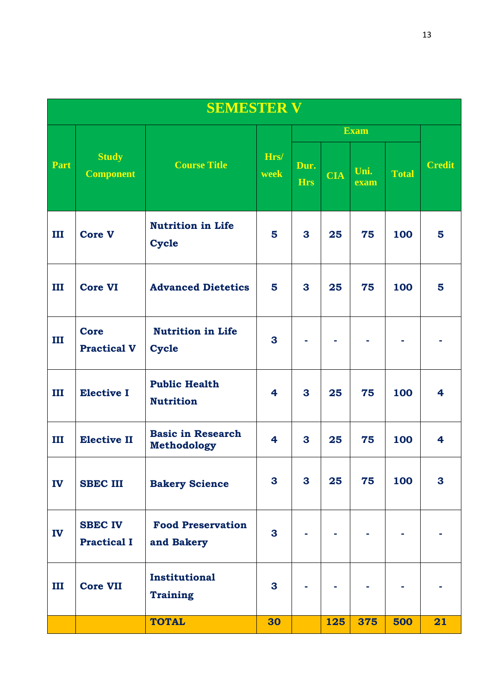|             | <b>SEMESTER V</b>                    |                                                |                         |                    |            |              |              |               |
|-------------|--------------------------------------|------------------------------------------------|-------------------------|--------------------|------------|--------------|--------------|---------------|
|             |                                      |                                                |                         |                    |            | <b>Exam</b>  |              |               |
| <b>Part</b> | <b>Study</b><br><b>Component</b>     | <b>Course Title</b>                            | Hrs/<br>week            | Dur.<br><b>Hrs</b> | <b>CIA</b> | Uni.<br>exam | <b>Total</b> | <b>Credit</b> |
| Ш           | <b>Core V</b>                        | <b>Nutrition in Life</b><br><b>Cycle</b>       | 5                       | $\mathbf{3}$       | 25         | 75           | 100          | 5             |
| Ш           | <b>Core VI</b>                       | <b>Advanced Dietetics</b>                      | 5                       | 3                  | 25         | 75           | 100          | 5             |
| Ш           | <b>Core</b><br><b>Practical V</b>    | <b>Nutrition in Life</b><br><b>Cycle</b>       | 3                       |                    |            |              |              |               |
| Ш           | <b>Elective I</b>                    | <b>Public Health</b><br><b>Nutrition</b>       | $\overline{\mathbf{4}}$ | 3                  | 25         | 75           | 100          | 4             |
| Ш           | <b>Elective II</b>                   | <b>Basic in Research</b><br><b>Methodology</b> | $\overline{\mathbf{4}}$ | 3                  | 25         | 75           | 100          | 4             |
| IV          | <b>SBEC III</b>                      | <b>Bakery Science</b>                          | $\mathbf{3}$            | $\mathbf{3}$       | 25         | 75           | 100          | 3             |
| IV          | <b>SBEC IV</b><br><b>Practical I</b> | <b>Food Preservation</b><br>and Bakery         | 3                       |                    |            |              |              |               |
| III         | <b>Core VII</b>                      | <b>Institutional</b><br><b>Training</b>        | 3                       |                    |            |              |              |               |
|             |                                      | <b>TOTAL</b>                                   | 30                      |                    | 125        | 375          | 500          | 21            |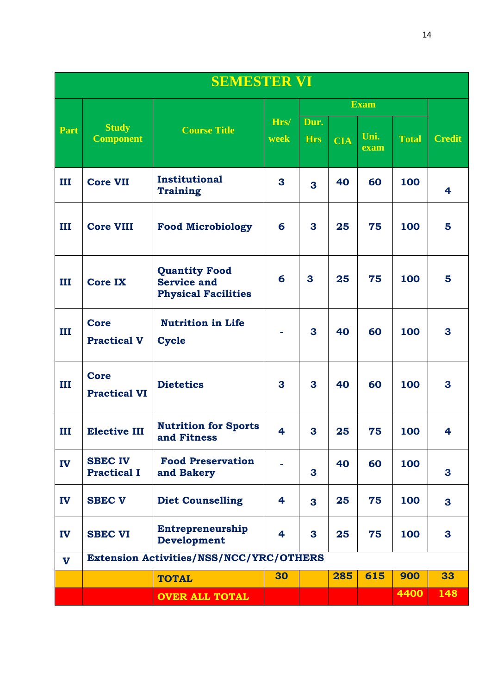|              | <b>SEMESTER VI</b>                   |                                                                          |              |                    |            |              |              |               |
|--------------|--------------------------------------|--------------------------------------------------------------------------|--------------|--------------------|------------|--------------|--------------|---------------|
|              |                                      |                                                                          |              |                    |            | <b>Exam</b>  |              |               |
| Part         | <b>Study</b><br><b>Component</b>     | <b>Course Title</b>                                                      | Hrs/<br>week | Dur.<br><b>Hrs</b> | <b>CIA</b> | Uni.<br>exam | <b>Total</b> | <b>Credit</b> |
| Ш            | <b>Core VII</b>                      | Institutional<br><b>Training</b>                                         | 3            | 3                  | 40         | 60           | 100          | 4             |
| Ш            | <b>Core VIII</b>                     | <b>Food Microbiology</b>                                                 | 6            | 3                  | 25         | 75           | 100          | 5             |
| Ш            | <b>Core IX</b>                       | <b>Quantity Food</b><br><b>Service and</b><br><b>Physical Facilities</b> | 6            | 3                  | 25         | 75           | 100          | 5             |
| Ш            | <b>Core</b><br><b>Practical V</b>    | <b>Nutrition in Life</b><br><b>Cycle</b>                                 |              | 3                  | 40         | 60           | 100          | 3             |
| Ш            | <b>Core</b><br><b>Practical VI</b>   | <b>Dietetics</b>                                                         | 3            | 3                  | 40         | 60           | 100          | 3             |
| Ш            | <b>Elective III</b>                  | <b>Nutrition for Sports</b><br>and Fitness                               | 4            | 3                  | 25         | 75           | 100          | 4             |
| IV           | <b>SBEC IV</b><br><b>Practical I</b> | <b>Food Preservation</b><br>and Bakery                                   |              | 3                  | 40         | 60           | 100          | 3             |
| IV           | <b>SBEC V</b>                        | <b>Diet Counselling</b>                                                  | 4            | 3                  | 25         | 75           | 100          | 3             |
| IV           | <b>SBEC VI</b>                       | Entrepreneurship<br><b>Development</b>                                   | 4            | 3                  | 25         | 75           | 100          | 3             |
| $\mathbf{V}$ |                                      | <b>Extension Activities/NSS/NCC/YRC/OTHERS</b>                           |              |                    |            |              |              |               |
|              |                                      | <b>TOTAL</b>                                                             | 30           |                    | 285        | 615          | 900          | 33            |
|              |                                      | <b>OVER ALL TOTAL</b>                                                    |              |                    |            |              | 4400         | 148           |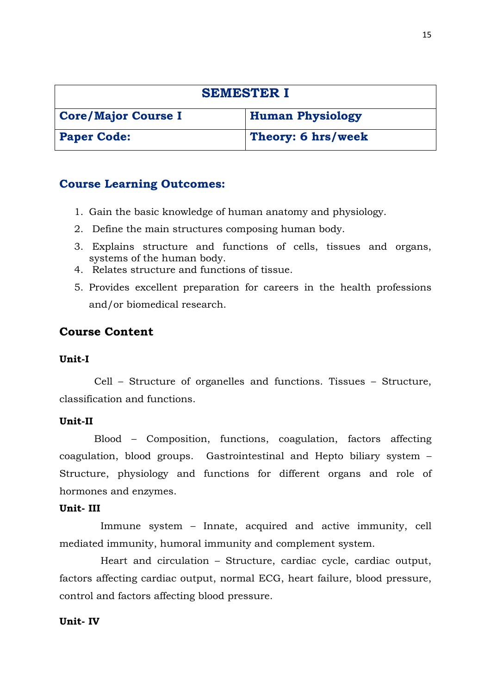| <b>SEMESTER I</b>          |                         |  |  |
|----------------------------|-------------------------|--|--|
| <b>Core/Major Course I</b> | <b>Human Physiology</b> |  |  |
| <b>Paper Code:</b>         | Theory: 6 hrs/week      |  |  |

- 1. Gain the basic knowledge of human anatomy and physiology.
- 2. Define the main structures composing human body.
- 3. Explains structure and functions of cells, tissues and organs, systems of the human body.
- 4. Relates structure and functions of tissue.
- 5. Provides excellent preparation for careers in the health professions and/or biomedical research.

# **Course Content**

### **Unit-I**

 Cell – Structure of organelles and functions. Tissues – Structure, classification and functions.

### **Unit-II**

 Blood – Composition, functions, coagulation, factors affecting coagulation, blood groups. Gastrointestinal and Hepto biliary system – Structure, physiology and functions for different organs and role of hormones and enzymes.

### **Unit- III**

 Immune system – Innate, acquired and active immunity, cell mediated immunity, humoral immunity and complement system.

 Heart and circulation – Structure, cardiac cycle, cardiac output, factors affecting cardiac output, normal ECG, heart failure, blood pressure, control and factors affecting blood pressure.

### **Unit- IV**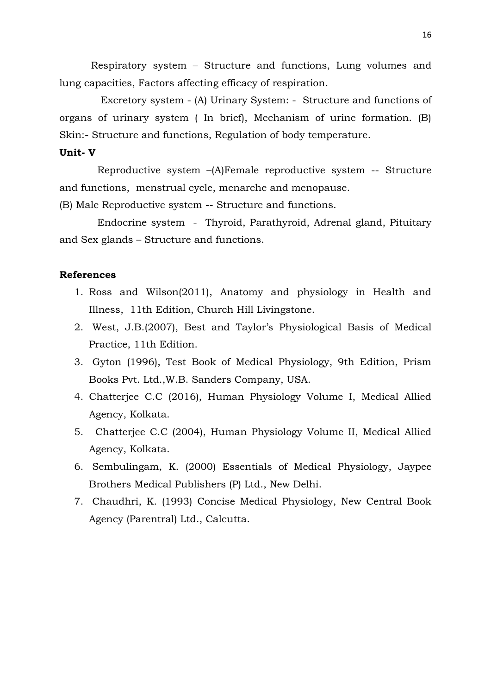Respiratory system – Structure and functions, Lung volumes and lung capacities, Factors affecting efficacy of respiration.

 Excretory system - (A) Urinary System: - Structure and functions of organs of urinary system ( In brief), Mechanism of urine formation. (B) Skin:- Structure and functions, Regulation of body temperature.

#### **Unit- V**

 Reproductive system –(A)Female reproductive system -- Structure and functions, menstrual cycle, menarche and menopause.

(B) Male Reproductive system -- Structure and functions.

 Endocrine system - Thyroid, Parathyroid, Adrenal gland, Pituitary and Sex glands – Structure and functions.

- 1. Ross and Wilson(2011), Anatomy and physiology in Health and Illness, 11th Edition, Church Hill Livingstone.
- 2. West, J.B.(2007), Best and Taylor's Physiological Basis of Medical Practice, 11th Edition.
- 3. Gyton (1996), Test Book of Medical Physiology, 9th Edition, Prism Books Pvt. Ltd.,W.B. Sanders Company, USA.
- 4. Chatterjee C.C (2016), Human Physiology Volume I, Medical Allied Agency, Kolkata.
- 5. Chatterjee C.C (2004), Human Physiology Volume II, Medical Allied Agency, Kolkata.
- 6. Sembulingam, K. (2000) Essentials of Medical Physiology, Jaypee Brothers Medical Publishers (P) Ltd., New Delhi.
- 7. Chaudhri, K. (1993) Concise Medical Physiology, New Central Book Agency (Parentral) Ltd., Calcutta.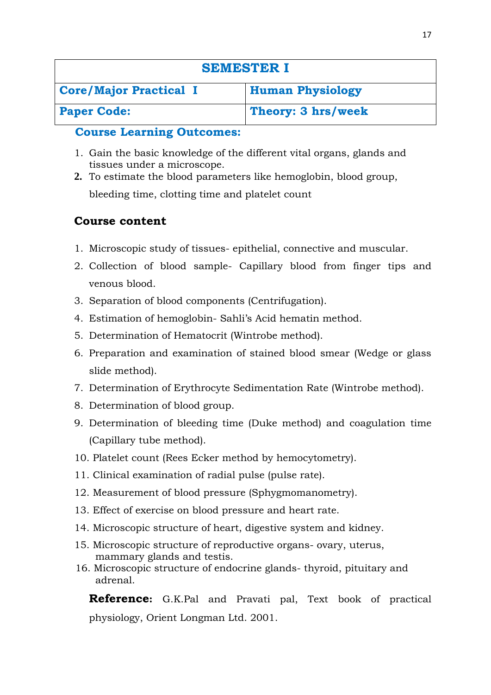| <b>SEMESTER I</b>             |                         |
|-------------------------------|-------------------------|
| <b>Core/Major Practical I</b> | <b>Human Physiology</b> |
| <b>Paper Code:</b>            | Theory: 3 hrs/week      |

- 1. Gain the basic knowledge of the different vital organs, glands and tissues under a microscope.
- **2.** To estimate the blood parameters like hemoglobin, blood group, bleeding time, clotting time and platelet count

# **Course content**

- 1. Microscopic study of tissues- epithelial, connective and muscular.
- 2. Collection of blood sample- Capillary blood from finger tips and venous blood.
- 3. Separation of blood components (Centrifugation).
- 4. Estimation of hemoglobin- Sahli's Acid hematin method.
- 5. Determination of Hematocrit (Wintrobe method).
- 6. Preparation and examination of stained blood smear (Wedge or glass slide method).
- 7. Determination of Erythrocyte Sedimentation Rate (Wintrobe method).
- 8. Determination of blood group.
- 9. Determination of bleeding time (Duke method) and coagulation time (Capillary tube method).
- 10. Platelet count (Rees Ecker method by hemocytometry).
- 11. Clinical examination of radial pulse (pulse rate).
- 12. Measurement of blood pressure (Sphygmomanometry).
- 13. Effect of exercise on blood pressure and heart rate.
- 14. Microscopic structure of heart, digestive system and kidney.
- 15. Microscopic structure of reproductive organs- ovary, uterus, mammary glands and testis.
- 16. Microscopic structure of endocrine glands- thyroid, pituitary and adrenal.

**Reference:** G.K.Pal and Pravati pal, Text book of practical physiology, Orient Longman Ltd. 2001.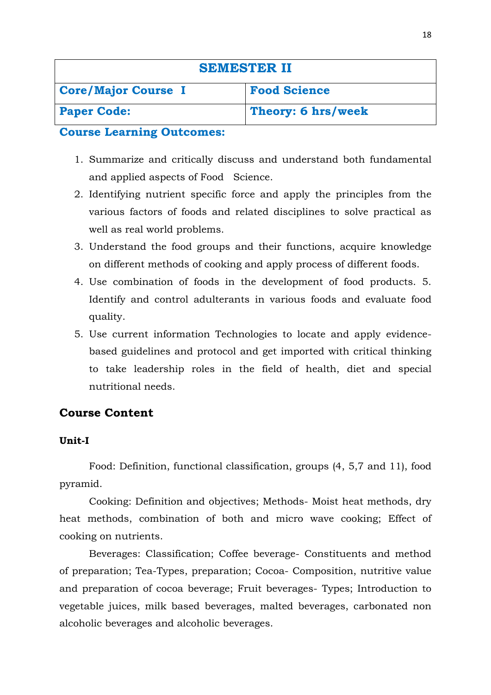| <b>SEMESTER II</b>         |                     |
|----------------------------|---------------------|
| <b>Core/Major Course I</b> | <b>Food Science</b> |
| <b>Paper Code:</b>         | Theory: 6 hrs/week  |

- 1. Summarize and critically discuss and understand both fundamental and applied aspects of Food Science.
- 2. Identifying nutrient specific force and apply the principles from the various factors of foods and related disciplines to solve practical as well as real world problems.
- 3. Understand the food groups and their functions, acquire knowledge on different methods of cooking and apply process of different foods.
- 4. Use combination of foods in the development of food products. 5. Identify and control adulterants in various foods and evaluate food quality.
- 5. Use current information Technologies to locate and apply evidencebased guidelines and protocol and get imported with critical thinking to take leadership roles in the field of health, diet and special nutritional needs.

# **Course Content**

### **Unit-I**

Food: Definition, functional classification, groups (4, 5,7 and 11), food pyramid.

Cooking: Definition and objectives; Methods- Moist heat methods, dry heat methods, combination of both and micro wave cooking; Effect of cooking on nutrients.

Beverages: Classification; Coffee beverage- Constituents and method of preparation; Tea-Types, preparation; Cocoa- Composition, nutritive value and preparation of cocoa beverage; Fruit beverages- Types; Introduction to vegetable juices, milk based beverages, malted beverages, carbonated non alcoholic beverages and alcoholic beverages.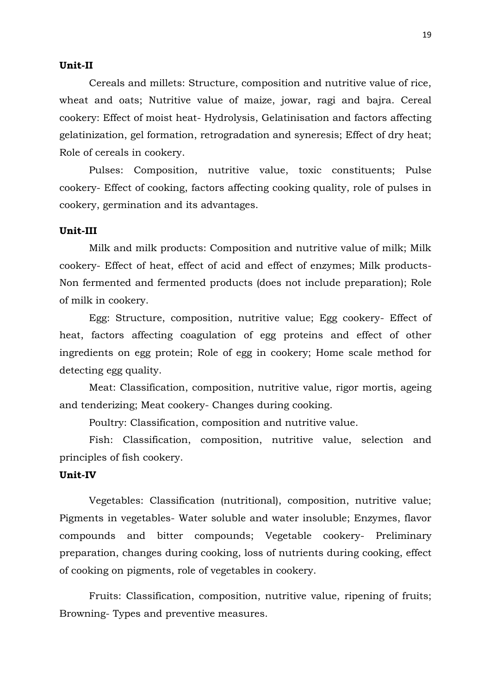#### **Unit-II**

Cereals and millets: Structure, composition and nutritive value of rice, wheat and oats; Nutritive value of maize, jowar, ragi and bajra. Cereal cookery: Effect of moist heat- Hydrolysis, Gelatinisation and factors affecting gelatinization, gel formation, retrogradation and syneresis; Effect of dry heat; Role of cereals in cookery.

Pulses: Composition, nutritive value, toxic constituents; Pulse cookery- Effect of cooking, factors affecting cooking quality, role of pulses in cookery, germination and its advantages.

### **Unit-III**

Milk and milk products: Composition and nutritive value of milk; Milk cookery- Effect of heat, effect of acid and effect of enzymes; Milk products-Non fermented and fermented products (does not include preparation); Role of milk in cookery.

Egg: Structure, composition, nutritive value; Egg cookery- Effect of heat, factors affecting coagulation of egg proteins and effect of other ingredients on egg protein; Role of egg in cookery; Home scale method for detecting egg quality.

Meat: Classification, composition, nutritive value, rigor mortis, ageing and tenderizing; Meat cookery- Changes during cooking.

Poultry: Classification, composition and nutritive value.

Fish: Classification, composition, nutritive value, selection and principles of fish cookery.

### **Unit-IV**

Vegetables: Classification (nutritional), composition, nutritive value; Pigments in vegetables- Water soluble and water insoluble; Enzymes, flavor compounds and bitter compounds; Vegetable cookery- Preliminary preparation, changes during cooking, loss of nutrients during cooking, effect of cooking on pigments, role of vegetables in cookery.

Fruits: Classification, composition, nutritive value, ripening of fruits; Browning- Types and preventive measures.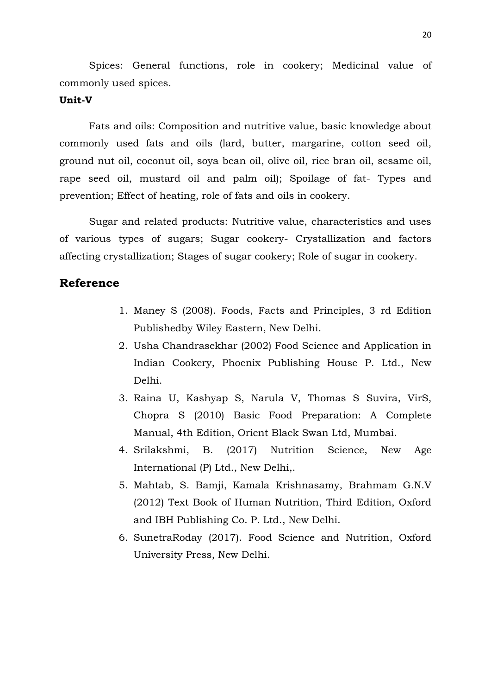Spices: General functions, role in cookery; Medicinal value of commonly used spices.

#### **Unit-V**

Fats and oils: Composition and nutritive value, basic knowledge about commonly used fats and oils (lard, butter, margarine, cotton seed oil, ground nut oil, coconut oil, soya bean oil, olive oil, rice bran oil, sesame oil, rape seed oil, mustard oil and palm oil); Spoilage of fat- Types and prevention; Effect of heating, role of fats and oils in cookery.

Sugar and related products: Nutritive value, characteristics and uses of various types of sugars; Sugar cookery- Crystallization and factors affecting crystallization; Stages of sugar cookery; Role of sugar in cookery.

- 1. Maney S (2008). Foods, Facts and Principles, 3 rd Edition Publishedby Wiley Eastern, New Delhi.
- 2. Usha Chandrasekhar (2002) Food Science and Application in Indian Cookery, Phoenix Publishing House P. Ltd., New Delhi.
- 3. Raina U, Kashyap S, Narula V, Thomas S Suvira, VirS, Chopra S (2010) Basic Food Preparation: A Complete Manual, 4th Edition, Orient Black Swan Ltd, Mumbai.
- 4. Srilakshmi, B. (2017) Nutrition Science, New Age International (P) Ltd., New Delhi,.
- 5. Mahtab, S. Bamji, Kamala Krishnasamy, Brahmam G.N.V (2012) Text Book of Human Nutrition, Third Edition, Oxford and IBH Publishing Co. P. Ltd., New Delhi.
- 6. SunetraRoday (2017). Food Science and Nutrition, Oxford University Press, New Delhi.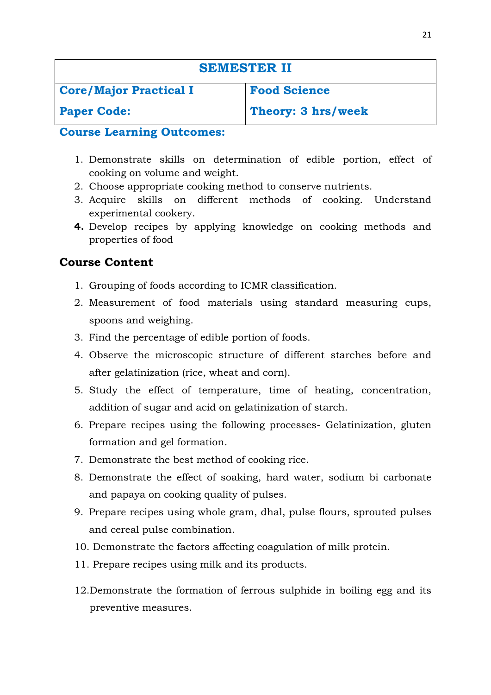| <b>SEMESTER II</b>            |                     |
|-------------------------------|---------------------|
| <b>Core/Major Practical I</b> | <b>Food Science</b> |
| <b>Paper Code:</b>            | Theory: 3 hrs/week  |

- 1. Demonstrate skills on determination of edible portion, effect of cooking on volume and weight.
- 2. Choose appropriate cooking method to conserve nutrients.
- 3. Acquire skills on different methods of cooking. Understand experimental cookery.
- **4.** Develop recipes by applying knowledge on cooking methods and properties of food

# **Course Content**

- 1. Grouping of foods according to ICMR classification.
- 2. Measurement of food materials using standard measuring cups, spoons and weighing.
- 3. Find the percentage of edible portion of foods.
- 4. Observe the microscopic structure of different starches before and after gelatinization (rice, wheat and corn).
- 5. Study the effect of temperature, time of heating, concentration, addition of sugar and acid on gelatinization of starch.
- 6. Prepare recipes using the following processes- Gelatinization, gluten formation and gel formation.
- 7. Demonstrate the best method of cooking rice.
- 8. Demonstrate the effect of soaking, hard water, sodium bi carbonate and papaya on cooking quality of pulses.
- 9. Prepare recipes using whole gram, dhal, pulse flours, sprouted pulses and cereal pulse combination.
- 10. Demonstrate the factors affecting coagulation of milk protein.
- 11. Prepare recipes using milk and its products.
- 12.Demonstrate the formation of ferrous sulphide in boiling egg and its preventive measures.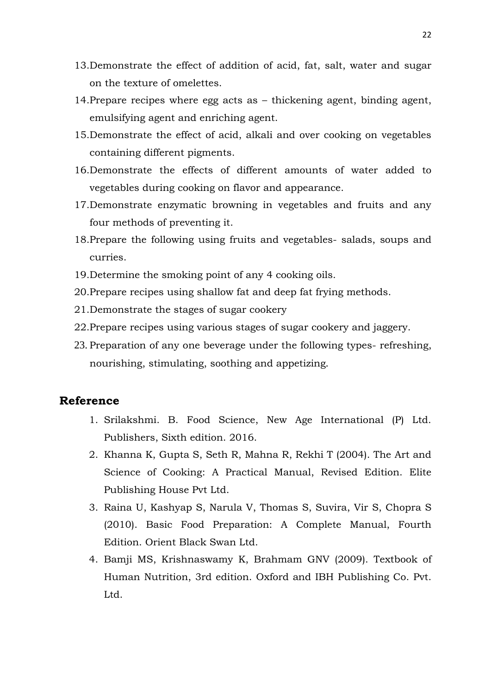- 13.Demonstrate the effect of addition of acid, fat, salt, water and sugar on the texture of omelettes.
- 14.Prepare recipes where egg acts as thickening agent, binding agent, emulsifying agent and enriching agent.
- 15.Demonstrate the effect of acid, alkali and over cooking on vegetables containing different pigments.
- 16.Demonstrate the effects of different amounts of water added to vegetables during cooking on flavor and appearance.
- 17.Demonstrate enzymatic browning in vegetables and fruits and any four methods of preventing it.
- 18.Prepare the following using fruits and vegetables- salads, soups and curries.
- 19.Determine the smoking point of any 4 cooking oils.
- 20.Prepare recipes using shallow fat and deep fat frying methods.
- 21.Demonstrate the stages of sugar cookery
- 22.Prepare recipes using various stages of sugar cookery and jaggery.
- 23. Preparation of any one beverage under the following types- refreshing, nourishing, stimulating, soothing and appetizing.

- 1. Srilakshmi. B. Food Science, New Age International (P) Ltd. Publishers, Sixth edition. 2016.
- 2. Khanna K, Gupta S, Seth R, Mahna R, Rekhi T (2004). The Art and Science of Cooking: A Practical Manual, Revised Edition. Elite Publishing House Pvt Ltd.
- 3. Raina U, Kashyap S, Narula V, Thomas S, Suvira, Vir S, Chopra S (2010). Basic Food Preparation: A Complete Manual, Fourth Edition. Orient Black Swan Ltd.
- 4. Bamji MS, Krishnaswamy K, Brahmam GNV (2009). Textbook of Human Nutrition, 3rd edition. Oxford and IBH Publishing Co. Pvt. Ltd.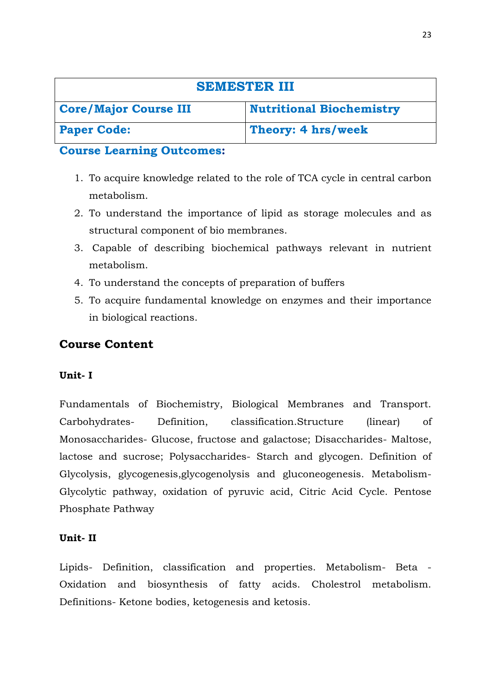| <b>SEMESTER III</b>          |                                 |
|------------------------------|---------------------------------|
| <b>Core/Major Course III</b> | <b>Nutritional Biochemistry</b> |
| <b>Paper Code:</b>           | Theory: 4 hrs/week              |

- 1. To acquire knowledge related to the role of TCA cycle in central carbon metabolism.
- 2. To understand the importance of lipid as storage molecules and as structural component of bio membranes.
- 3. Capable of describing biochemical pathways relevant in nutrient metabolism.
- 4. To understand the concepts of preparation of buffers
- 5. To acquire fundamental knowledge on enzymes and their importance in biological reactions.

# **Course Content**

### **Unit- I**

Fundamentals of Biochemistry, Biological Membranes and Transport. Carbohydrates- Definition, classification.Structure (linear) of Monosaccharides- Glucose, fructose and galactose; Disaccharides- Maltose, lactose and sucrose; Polysaccharides- Starch and glycogen. Definition of Glycolysis, glycogenesis,glycogenolysis and gluconeogenesis. Metabolism-Glycolytic pathway, oxidation of pyruvic acid, Citric Acid Cycle. Pentose Phosphate Pathway

### **Unit- II**

Lipids- Definition, classification and properties. Metabolism- Beta - Oxidation and biosynthesis of fatty acids. Cholestrol metabolism. Definitions- Ketone bodies, ketogenesis and ketosis.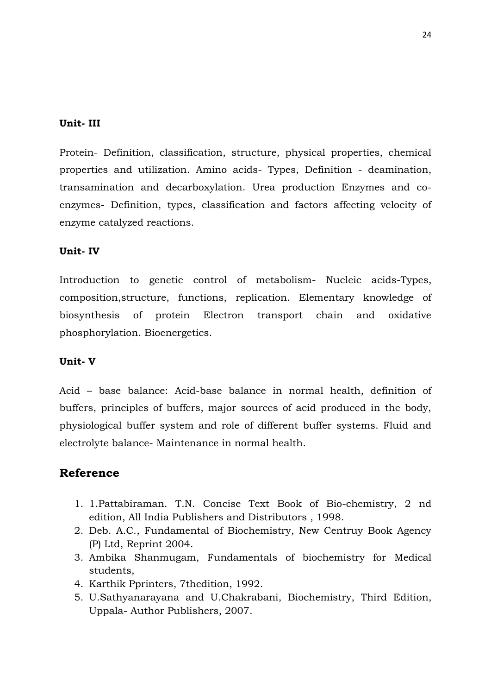#### **Unit- III**

Protein- Definition, classification, structure, physical properties, chemical properties and utilization. Amino acids- Types, Definition - deamination, transamination and decarboxylation. Urea production Enzymes and coenzymes- Definition, types, classification and factors affecting velocity of enzyme catalyzed reactions.

#### **Unit- IV**

Introduction to genetic control of metabolism- Nucleic acids-Types, composition,structure, functions, replication. Elementary knowledge of biosynthesis of protein Electron transport chain and oxidative phosphorylation. Bioenergetics.

#### **Unit- V**

Acid – base balance: Acid-base balance in normal health, definition of buffers, principles of buffers, major sources of acid produced in the body, physiological buffer system and role of different buffer systems. Fluid and electrolyte balance- Maintenance in normal health.

- 1. 1.Pattabiraman. T.N. Concise Text Book of Bio-chemistry, 2 nd edition, All India Publishers and Distributors , 1998.
- 2. Deb. A.C., Fundamental of Biochemistry, New Centruy Book Agency (P) Ltd, Reprint 2004.
- 3. Ambika Shanmugam, Fundamentals of biochemistry for Medical students,
- 4. Karthik Pprinters, 7thedition, 1992.
- 5. U.Sathyanarayana and U.Chakrabani, Biochemistry, Third Edition, Uppala- Author Publishers, 2007.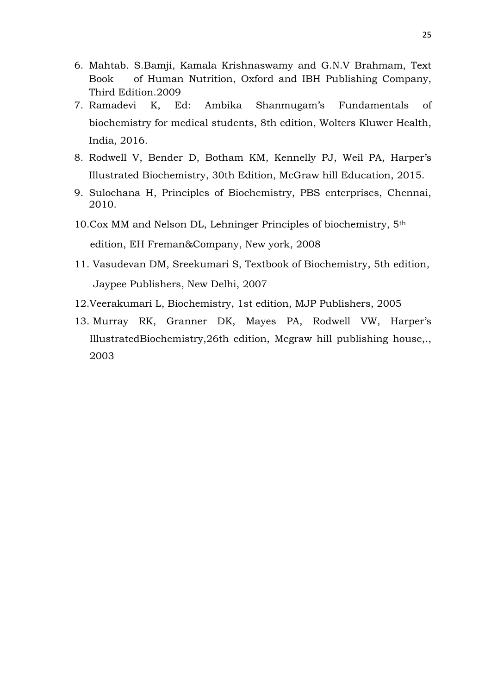- 6. Mahtab. S.Bamji, Kamala Krishnaswamy and G.N.V Brahmam, Text Book of Human Nutrition, Oxford and IBH Publishing Company, Third Edition.2009
- 7. Ramadevi K, Ed: Ambika Shanmugam's Fundamentals of biochemistry for medical students, 8th edition, Wolters Kluwer Health, India, 2016.
- 8. Rodwell V, Bender D, Botham KM, Kennelly PJ, Weil PA, Harper's Illustrated Biochemistry, 30th Edition, McGraw hill Education, 2015.
- 9. Sulochana H, Principles of Biochemistry, PBS enterprises, Chennai, 2010.
- 10.Cox MM and Nelson DL, Lehninger Principles of biochemistry, 5th edition, EH Freman&Company, New york, 2008
- 11. Vasudevan DM, Sreekumari S, Textbook of Biochemistry, 5th edition, Jaypee Publishers, New Delhi, 2007
- 12.Veerakumari L, Biochemistry, 1st edition, MJP Publishers, 2005
- 13. Murray RK, Granner DK, Mayes PA, Rodwell VW, Harper's IllustratedBiochemistry,26th edition, Mcgraw hill publishing house,., 2003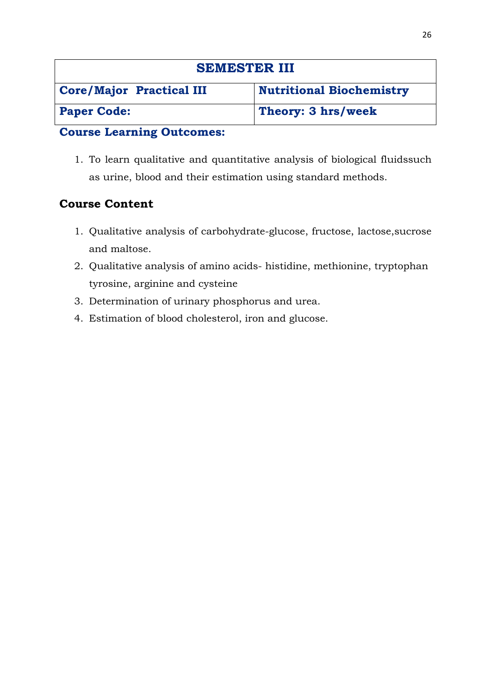| <b>SEMESTER III</b>             |                                 |
|---------------------------------|---------------------------------|
| <b>Core/Major Practical III</b> | <b>Nutritional Biochemistry</b> |
| <b>Paper Code:</b>              | Theory: 3 hrs/week              |

1. To learn qualitative and quantitative analysis of biological fluidssuch as urine, blood and their estimation using standard methods.

# **Course Content**

- 1. Qualitative analysis of carbohydrate-glucose, fructose, lactose,sucrose and maltose.
- 2. Qualitative analysis of amino acids- histidine, methionine, tryptophan tyrosine, arginine and cysteine
- 3. Determination of urinary phosphorus and urea.
- 4. Estimation of blood cholesterol, iron and glucose.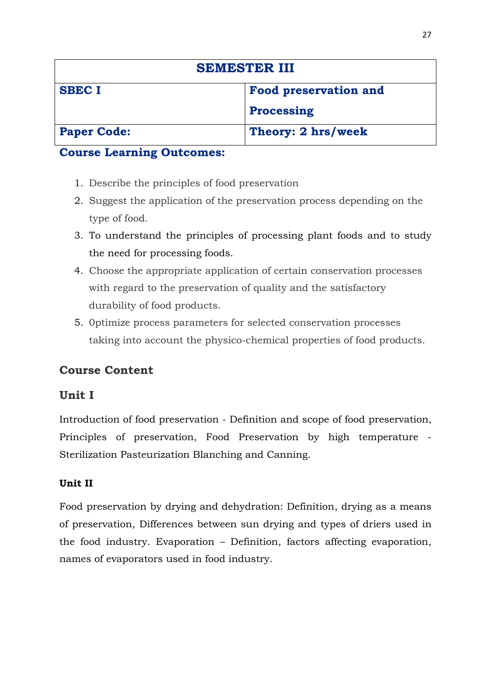| <b>SEMESTER III</b> |                              |
|---------------------|------------------------------|
| <b>SBEC I</b>       | <b>Food preservation and</b> |
|                     | <b>Processing</b>            |
| <b>Paper Code:</b>  | Theory: 2 hrs/week           |

- 1. Describe the principles of food preservation
- 2. Suggest the application of the preservation process depending on the type of food.
- 3. To understand the principles of processing plant foods and to study the need for processing foods.
- 4. Choose the appropriate application of certain conservation processes with regard to the preservation of quality and the satisfactory durability of food products.
- 5. 0ptimize process parameters for selected conservation processes taking into account the physico-chemical properties of food products.

# **Course Content**

# **Unit I**

Introduction of food preservation - Definition and scope of food preservation, Principles of preservation, Food Preservation by high temperature - Sterilization Pasteurization Blanching and Canning.

# **Unit II**

Food preservation by drying and dehydration: Definition, drying as a means of preservation, Differences between sun drying and types of driers used in the food industry. Evaporation – Definition, factors affecting evaporation, names of evaporators used in food industry.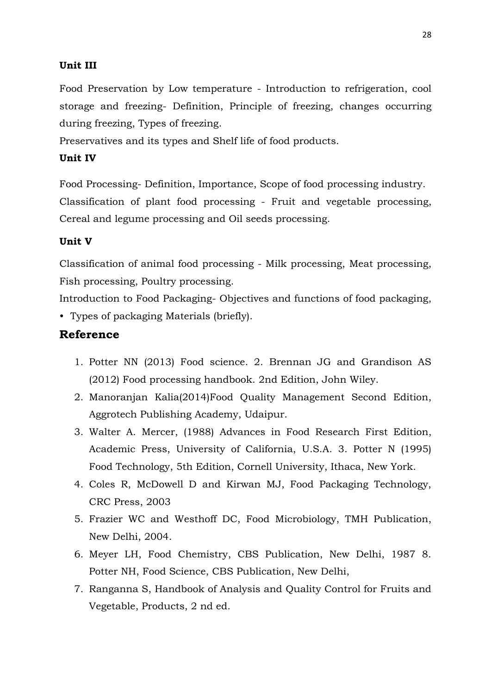### **Unit III**

Food Preservation by Low temperature - Introduction to refrigeration, cool storage and freezing- Definition, Principle of freezing, changes occurring during freezing, Types of freezing.

Preservatives and its types and Shelf life of food products.

### **Unit IV**

Food Processing- Definition, Importance, Scope of food processing industry. Classification of plant food processing - Fruit and vegetable processing, Cereal and legume processing and Oil seeds processing.

### **Unit V**

Classification of animal food processing - Milk processing, Meat processing, Fish processing, Poultry processing.

Introduction to Food Packaging- Objectives and functions of food packaging, • Types of packaging Materials (briefly).

- 1. Potter NN (2013) Food science. 2. Brennan JG and Grandison AS (2012) Food processing handbook. 2nd Edition, John Wiley.
- 2. Manoranjan Kalia(2014)Food Quality Management Second Edition, Aggrotech Publishing Academy, Udaipur.
- 3. Walter A. Mercer, (1988) Advances in Food Research First Edition, Academic Press, University of California, U.S.A. 3. Potter N (1995) Food Technology, 5th Edition, Cornell University, Ithaca, New York.
- 4. Coles R, McDowell D and Kirwan MJ, Food Packaging Technology, CRC Press, 2003
- 5. Frazier WC and Westhoff DC, Food Microbiology, TMH Publication, New Delhi, 2004.
- 6. Meyer LH, Food Chemistry, CBS Publication, New Delhi, 1987 8. Potter NH, Food Science, CBS Publication, New Delhi,
- 7. Ranganna S, Handbook of Analysis and Quality Control for Fruits and Vegetable, Products, 2 nd ed.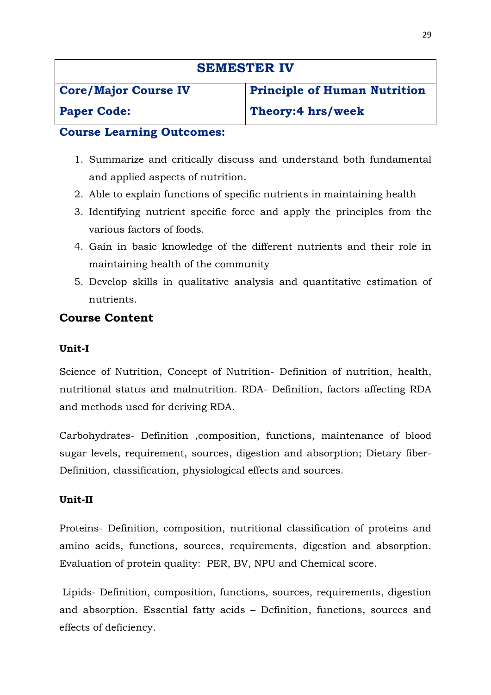| <b>SEMESTER IV</b>          |                                     |
|-----------------------------|-------------------------------------|
| <b>Core/Major Course IV</b> | <b>Principle of Human Nutrition</b> |
| <b>Paper Code:</b>          | Theory:4 hrs/week                   |

- 1. Summarize and critically discuss and understand both fundamental and applied aspects of nutrition.
- 2. Able to explain functions of specific nutrients in maintaining health
- 3. Identifying nutrient specific force and apply the principles from the various factors of foods.
- 4. Gain in basic knowledge of the different nutrients and their role in maintaining health of the community
- 5. Develop skills in qualitative analysis and quantitative estimation of nutrients.

# **Course Content**

### **Unit-I**

Science of Nutrition, Concept of Nutrition- Definition of nutrition, health, nutritional status and malnutrition. RDA- Definition, factors affecting RDA and methods used for deriving RDA.

Carbohydrates- Definition ,composition, functions, maintenance of blood sugar levels, requirement, sources, digestion and absorption; Dietary fiber-Definition, classification, physiological effects and sources.

### **Unit-II**

Proteins- Definition, composition, nutritional classification of proteins and amino acids, functions, sources, requirements, digestion and absorption. Evaluation of protein quality: PER, BV, NPU and Chemical score.

Lipids- Definition, composition, functions, sources, requirements, digestion and absorption. Essential fatty acids – Definition, functions, sources and effects of deficiency.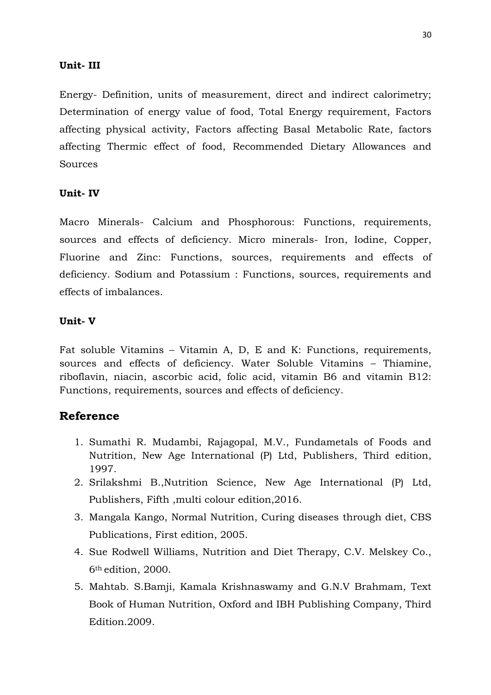### **Unit- III**

Energy- Definition, units of measurement, direct and indirect calorimetry; Determination of energy value of food, Total Energy requirement, Factors affecting physical activity, Factors affecting Basal Metabolic Rate, factors affecting Thermic effect of food, Recommended Dietary Allowances and Sources

#### **Unit- IV**

Macro Minerals- Calcium and Phosphorous: Functions, requirements, sources and effects of deficiency. Micro minerals- Iron, Iodine, Copper, Fluorine and Zinc: Functions, sources, requirements and effects of deficiency. Sodium and Potassium : Functions, sources, requirements and effects of imbalances.

### **Unit- V**

Fat soluble Vitamins – Vitamin A, D, E and K: Functions, requirements, sources and effects of deficiency. Water Soluble Vitamins – Thiamine, riboflavin, niacin, ascorbic acid, folic acid, vitamin B6 and vitamin B12: Functions, requirements, sources and effects of deficiency.

- 1. Sumathi R. Mudambi, Rajagopal, M.V., Fundametals of Foods and Nutrition, New Age International (P) Ltd, Publishers, Third edition, 1997.
- 2. Srilakshmi B.,Nutrition Science, New Age International (P) Ltd, Publishers, Fifth ,multi colour edition,2016.
- 3. Mangala Kango, Normal Nutrition, Curing diseases through diet, CBS Publications, First edition, 2005.
- 4. Sue Rodwell Williams, Nutrition and Diet Therapy, C.V. Melskey Co., 6th edition, 2000.
- 5. Mahtab. S.Bamji, Kamala Krishnaswamy and G.N.V Brahmam, Text Book of Human Nutrition, Oxford and IBH Publishing Company, Third Edition.2009.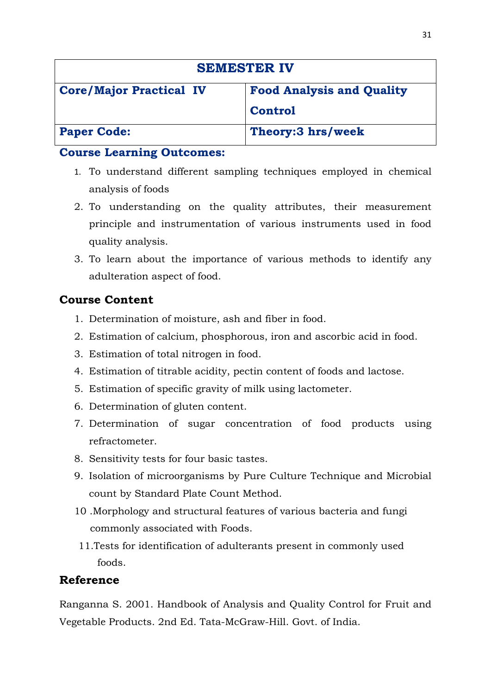| <b>SEMESTER IV</b>             |                                  |
|--------------------------------|----------------------------------|
| <b>Core/Major Practical IV</b> | <b>Food Analysis and Quality</b> |
|                                | <b>Control</b>                   |
| <b>Paper Code:</b>             | Theory:3 hrs/week                |

- 1. To understand different sampling techniques employed in chemical analysis of foods
- 2. To understanding on the quality attributes, their measurement principle and instrumentation of various instruments used in food quality analysis.
- 3. To learn about the importance of various methods to identify any adulteration aspect of food.

# **Course Content**

- 1. Determination of moisture, ash and fiber in food.
- 2. Estimation of calcium, phosphorous, iron and ascorbic acid in food.
- 3. Estimation of total nitrogen in food.
- 4. Estimation of titrable acidity, pectin content of foods and lactose.
- 5. Estimation of specific gravity of milk using lactometer.
- 6. Determination of gluten content.
- 7. Determination of sugar concentration of food products using refractometer.
- 8. Sensitivity tests for four basic tastes.
- 9. Isolation of microorganisms by Pure Culture Technique and Microbial count by Standard Plate Count Method.
- 10 .Morphology and structural features of various bacteria and fungi commonly associated with Foods.
- 11.Tests for identification of adulterants present in commonly used foods.

# **Reference**

Ranganna S. 2001. Handbook of Analysis and Quality Control for Fruit and Vegetable Products. 2nd Ed. Tata-McGraw-Hill. Govt. of India.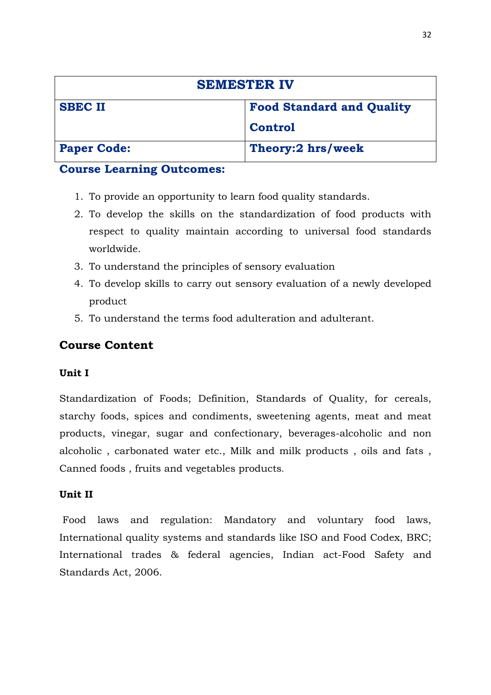| <b>SEMESTER IV</b> |                                  |
|--------------------|----------------------------------|
| <b>SBEC II</b>     | <b>Food Standard and Quality</b> |
|                    | <b>Control</b>                   |
| <b>Paper Code:</b> | Theory:2 hrs/week                |

- 1. To provide an opportunity to learn food quality standards.
- 2. To develop the skills on the standardization of food products with respect to quality maintain according to universal food standards worldwide.
- 3. To understand the principles of sensory evaluation
- 4. To develop skills to carry out sensory evaluation of a newly developed product
- 5. To understand the terms food adulteration and adulterant.

# **Course Content**

### **Unit I**

Standardization of Foods; Definition, Standards of Quality, for cereals, starchy foods, spices and condiments, sweetening agents, meat and meat products, vinegar, sugar and confectionary, beverages-alcoholic and non alcoholic , carbonated water etc., Milk and milk products , oils and fats , Canned foods , fruits and vegetables products.

### **Unit II**

Food laws and regulation: Mandatory and voluntary food laws, International quality systems and standards like ISO and Food Codex, BRC; International trades & federal agencies, Indian act-Food Safety and Standards Act, 2006.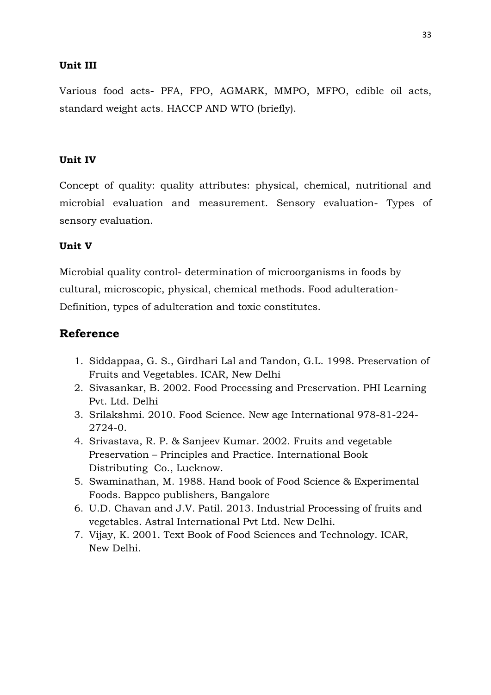### **Unit III**

Various food acts- PFA, FPO, AGMARK, MMPO, MFPO, edible oil acts, standard weight acts. HACCP AND WTO (briefly).

### **Unit IV**

Concept of quality: quality attributes: physical, chemical, nutritional and microbial evaluation and measurement. Sensory evaluation- Types of sensory evaluation.

#### **Unit V**

Microbial quality control- determination of microorganisms in foods by cultural, microscopic, physical, chemical methods. Food adulteration-Definition, types of adulteration and toxic constitutes.

- 1. Siddappaa, G. S., Girdhari Lal and Tandon, G.L. 1998. Preservation of Fruits and Vegetables. ICAR, New Delhi
- 2. Sivasankar, B. 2002. Food Processing and Preservation. PHI Learning Pvt. Ltd. Delhi
- 3. Srilakshmi. 2010. Food Science. New age International 978-81-224- 2724-0.
- 4. Srivastava, R. P. & Sanjeev Kumar. 2002. Fruits and vegetable Preservation – Principles and Practice. International Book Distributing Co., Lucknow.
- 5. Swaminathan, M. 1988. Hand book of Food Science & Experimental Foods. Bappco publishers, Bangalore
- 6. U.D. Chavan and J.V. Patil. 2013. Industrial Processing of fruits and vegetables. Astral International Pvt Ltd. New Delhi.
- 7. Vijay, K. 2001. Text Book of Food Sciences and Technology. ICAR, New Delhi.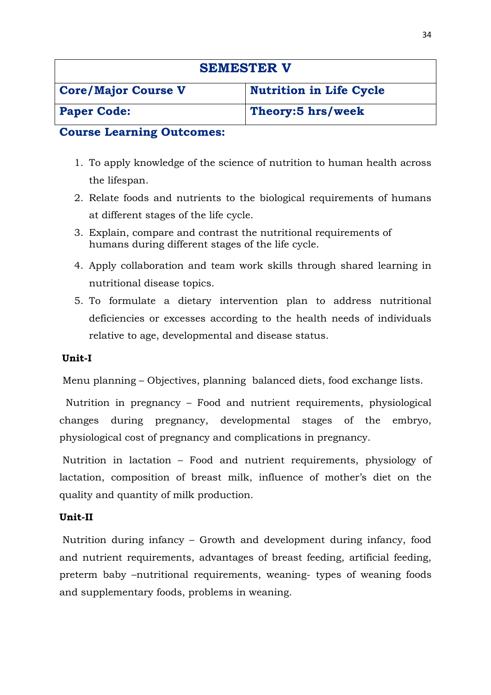| <b>SEMESTER V</b>          |                                |
|----------------------------|--------------------------------|
| <b>Core/Major Course V</b> | <b>Nutrition in Life Cycle</b> |
| <b>Paper Code:</b>         | Theory:5 hrs/week              |

- 1. To apply knowledge of the science of nutrition to human health across the lifespan.
- 2. Relate foods and nutrients to the biological requirements of humans at different stages of the life cycle.
- 3. Explain, compare and contrast the nutritional requirements of humans during different stages of the life cycle.
- 4. Apply collaboration and team work skills through shared learning in nutritional disease topics.
- 5. To formulate a dietary intervention plan to address nutritional deficiencies or excesses according to the health needs of individuals relative to age, developmental and disease status.

### **Unit-I**

Menu planning – Objectives, planning balanced diets, food exchange lists.

 Nutrition in pregnancy – Food and nutrient requirements, physiological changes during pregnancy, developmental stages of the embryo, physiological cost of pregnancy and complications in pregnancy.

Nutrition in lactation – Food and nutrient requirements, physiology of lactation, composition of breast milk, influence of mother's diet on the quality and quantity of milk production.

### **Unit-II**

Nutrition during infancy – Growth and development during infancy, food and nutrient requirements, advantages of breast feeding, artificial feeding, preterm baby –nutritional requirements, weaning- types of weaning foods and supplementary foods, problems in weaning.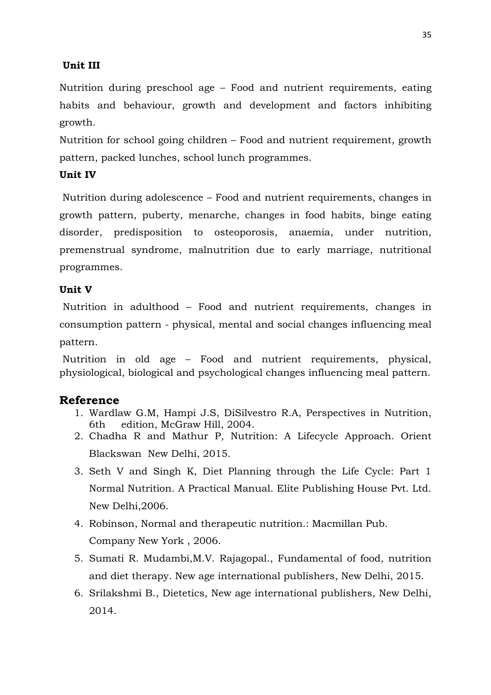### **Unit III**

Nutrition during preschool age – Food and nutrient requirements, eating habits and behaviour, growth and development and factors inhibiting growth.

Nutrition for school going children – Food and nutrient requirement, growth pattern, packed lunches, school lunch programmes.

### **Unit IV**

Nutrition during adolescence – Food and nutrient requirements, changes in growth pattern, puberty, menarche, changes in food habits, binge eating disorder, predisposition to osteoporosis, anaemia, under nutrition, premenstrual syndrome, malnutrition due to early marriage, nutritional programmes.

### **Unit V**

Nutrition in adulthood – Food and nutrient requirements, changes in consumption pattern - physical, mental and social changes influencing meal pattern.

Nutrition in old age – Food and nutrient requirements, physical, physiological, biological and psychological changes influencing meal pattern.

- 1. Wardlaw G.M, Hampi J.S, DiSilvestro R.A, Perspectives in Nutrition, 6th edition, McGraw Hill, 2004.
- 2. Chadha R and Mathur P, Nutrition: A Lifecycle Approach. Orient Blackswan New Delhi, 2015.
- 3. Seth V and Singh K, Diet Planning through the Life Cycle: Part 1 Normal Nutrition. A Practical Manual. Elite Publishing House Pvt. Ltd. New Delhi,2006.
- 4. Robinson, Normal and therapeutic nutrition.: Macmillan Pub. Company New York , 2006.
- 5. Sumati R. Mudambi,M.V. Rajagopal., Fundamental of food, nutrition and diet therapy. New age international publishers, New Delhi, 2015.
- 6. Srilakshmi B., Dietetics, New age international publishers, New Delhi, 2014.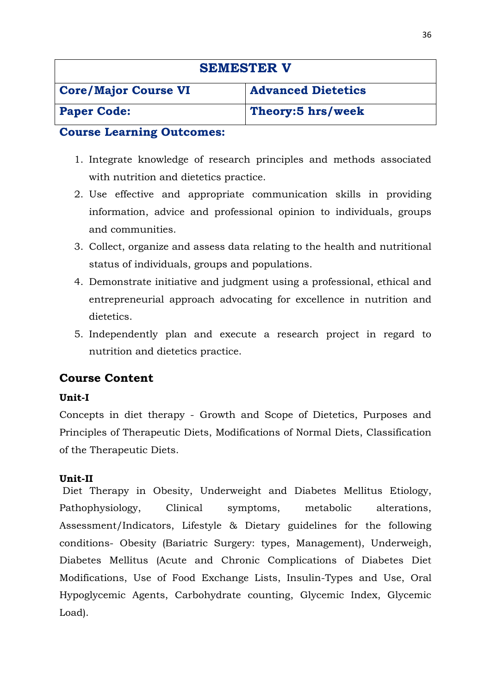| <b>SEMESTER V</b>           |                           |
|-----------------------------|---------------------------|
| <b>Core/Major Course VI</b> | <b>Advanced Dietetics</b> |
| <b>Paper Code:</b>          | Theory:5 hrs/week         |

- 1. Integrate knowledge of research principles and methods associated with nutrition and dietetics practice.
- 2. Use effective and appropriate communication skills in providing information, advice and professional opinion to individuals, groups and communities.
- 3. Collect, organize and assess data relating to the health and nutritional status of individuals, groups and populations.
- 4. Demonstrate initiative and judgment using a professional, ethical and entrepreneurial approach advocating for excellence in nutrition and dietetics.
- 5. Independently plan and execute a research project in regard to nutrition and dietetics practice.

# **Course Content**

### **Unit-I**

Concepts in diet therapy - Growth and Scope of Dietetics, Purposes and Principles of Therapeutic Diets, Modifications of Normal Diets, Classification of the Therapeutic Diets.

### **Unit-II**

Diet Therapy in Obesity, Underweight and Diabetes Mellitus Etiology, Pathophysiology, Clinical symptoms, metabolic alterations, Assessment/Indicators, Lifestyle & Dietary guidelines for the following conditions- Obesity (Bariatric Surgery: types, Management), Underweigh, Diabetes Mellitus (Acute and Chronic Complications of Diabetes Diet Modifications, Use of Food Exchange Lists, Insulin-Types and Use, Oral Hypoglycemic Agents, Carbohydrate counting, Glycemic Index, Glycemic Load).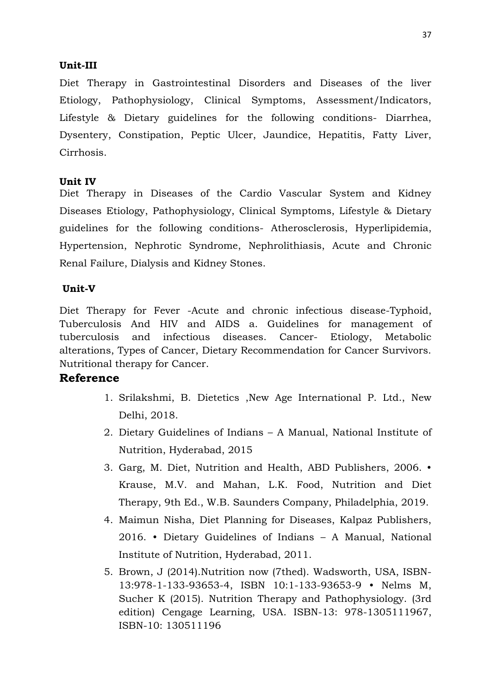### **Unit-III**

Diet Therapy in Gastrointestinal Disorders and Diseases of the liver Etiology, Pathophysiology, Clinical Symptoms, Assessment/Indicators, Lifestyle & Dietary guidelines for the following conditions- Diarrhea, Dysentery, Constipation, Peptic Ulcer, Jaundice, Hepatitis, Fatty Liver, Cirrhosis.

### **Unit IV**

Diet Therapy in Diseases of the Cardio Vascular System and Kidney Diseases Etiology, Pathophysiology, Clinical Symptoms, Lifestyle & Dietary guidelines for the following conditions- Atherosclerosis, Hyperlipidemia, Hypertension, Nephrotic Syndrome, Nephrolithiasis, Acute and Chronic Renal Failure, Dialysis and Kidney Stones.

### **Unit-V**

Diet Therapy for Fever -Acute and chronic infectious disease-Typhoid, Tuberculosis And HIV and AIDS a. Guidelines for management of tuberculosis and infectious diseases. Cancer- Etiology, Metabolic alterations, Types of Cancer, Dietary Recommendation for Cancer Survivors. Nutritional therapy for Cancer.

- 1. Srilakshmi, B. Dietetics ,New Age International P. Ltd., New Delhi, 2018.
- 2. Dietary Guidelines of Indians A Manual, National Institute of Nutrition, Hyderabad, 2015
- 3. Garg, M. Diet, Nutrition and Health, ABD Publishers, 2006. Krause, M.V. and Mahan, L.K. Food, Nutrition and Diet Therapy, 9th Ed., W.B. Saunders Company, Philadelphia, 2019.
- 4. Maimun Nisha, Diet Planning for Diseases, Kalpaz Publishers, 2016. • Dietary Guidelines of Indians – A Manual, National Institute of Nutrition, Hyderabad, 2011.
- 5. Brown, J (2014).Nutrition now (7thed). Wadsworth, USA, ISBN-13:978-1-133-93653-4, ISBN 10:1-133-93653-9 • Nelms M, Sucher K (2015). Nutrition Therapy and Pathophysiology. (3rd edition) Cengage Learning, USA. ISBN-13: 978-1305111967, ISBN-10: 130511196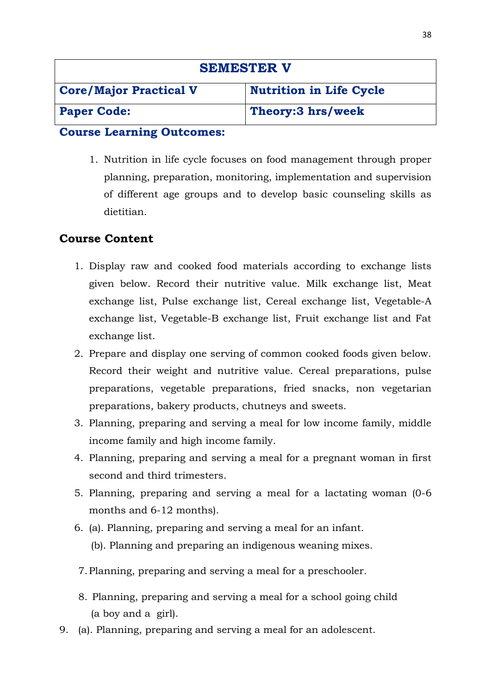| <b>SEMESTER V</b>             |                                |
|-------------------------------|--------------------------------|
| <b>Core/Major Practical V</b> | <b>Nutrition in Life Cycle</b> |
| <b>Paper Code:</b>            | Theory:3 hrs/week              |

1. Nutrition in life cycle focuses on food management through proper planning, preparation, monitoring, implementation and supervision of different age groups and to develop basic counseling skills as dietitian.

# **Course Content**

- 1. Display raw and cooked food materials according to exchange lists given below. Record their nutritive value. Milk exchange list, Meat exchange list, Pulse exchange list, Cereal exchange list, Vegetable-A exchange list, Vegetable-B exchange list, Fruit exchange list and Fat exchange list.
- 2. Prepare and display one serving of common cooked foods given below. Record their weight and nutritive value. Cereal preparations, pulse preparations, vegetable preparations, fried snacks, non vegetarian preparations, bakery products, chutneys and sweets.
- 3. Planning, preparing and serving a meal for low income family, middle income family and high income family.
- 4. Planning, preparing and serving a meal for a pregnant woman in first second and third trimesters.
- 5. Planning, preparing and serving a meal for a lactating woman (0-6 months and 6-12 months).
- 6. (a). Planning, preparing and serving a meal for an infant.
	- (b). Planning and preparing an indigenous weaning mixes.
- 7.Planning, preparing and serving a meal for a preschooler.
- 8. Planning, preparing and serving a meal for a school going child (a boy and a girl).
- 9. (a). Planning, preparing and serving a meal for an adolescent.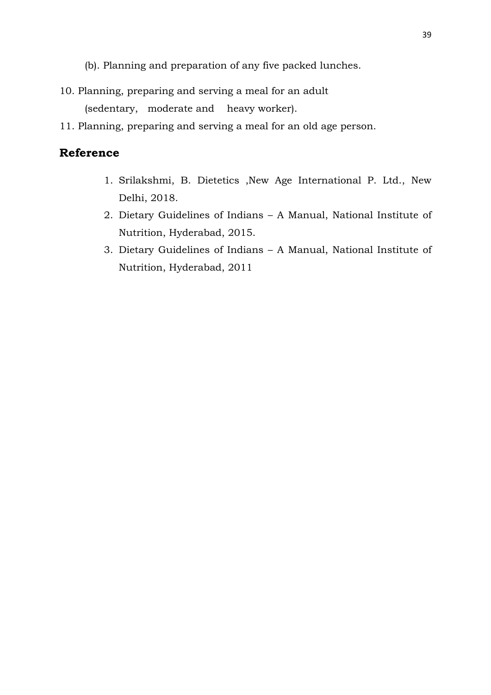(b). Planning and preparation of any five packed lunches.

10. Planning, preparing and serving a meal for an adult

(sedentary, moderate and heavy worker).

11. Planning, preparing and serving a meal for an old age person.

- 1. Srilakshmi, B. Dietetics ,New Age International P. Ltd., New Delhi, 2018.
- 2. Dietary Guidelines of Indians A Manual, National Institute of Nutrition, Hyderabad, 2015.
- 3. Dietary Guidelines of Indians A Manual, National Institute of Nutrition, Hyderabad, 2011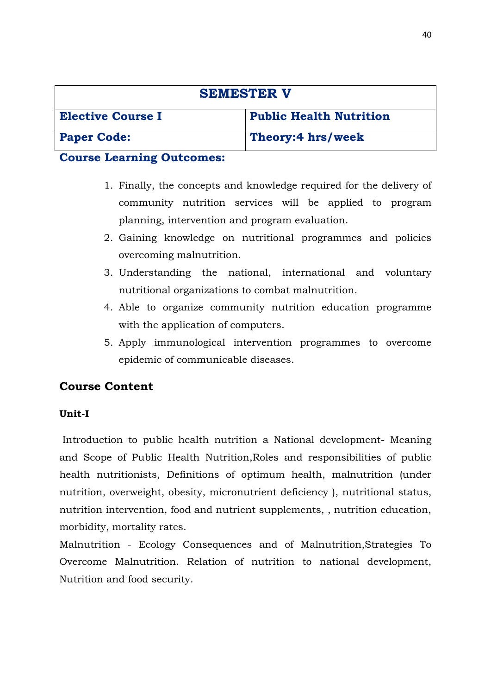| <b>SEMESTER V</b>        |                                |
|--------------------------|--------------------------------|
| <b>Elective Course I</b> | <b>Public Health Nutrition</b> |
| <b>Paper Code:</b>       | Theory:4 hrs/week              |

- 1. Finally, the concepts and knowledge required for the delivery of community nutrition services will be applied to program planning, intervention and program evaluation.
- 2. Gaining knowledge on nutritional programmes and policies overcoming malnutrition.
- 3. Understanding the national, international and voluntary nutritional organizations to combat malnutrition.
- 4. Able to organize community nutrition education programme with the application of computers.
- 5. Apply immunological intervention programmes to overcome epidemic of communicable diseases.

# **Course Content**

### **Unit-I**

Introduction to public health nutrition a National development- Meaning and Scope of Public Health Nutrition,Roles and responsibilities of public health nutritionists, Definitions of optimum health, malnutrition (under nutrition, overweight, obesity, micronutrient deficiency ), nutritional status, nutrition intervention, food and nutrient supplements, , nutrition education, morbidity, mortality rates.

Malnutrition - Ecology Consequences and of Malnutrition,Strategies To Overcome Malnutrition. Relation of nutrition to national development, Nutrition and food security.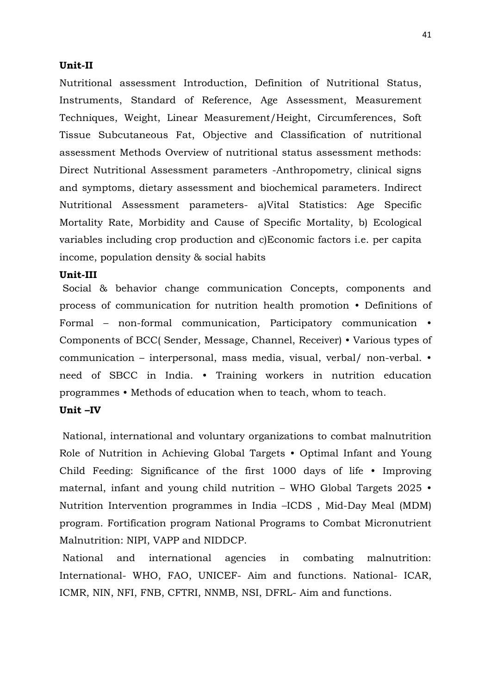#### **Unit-II**

Nutritional assessment Introduction, Definition of Nutritional Status, Instruments, Standard of Reference, Age Assessment, Measurement Techniques, Weight, Linear Measurement/Height, Circumferences, Soft Tissue Subcutaneous Fat, Objective and Classification of nutritional assessment Methods Overview of nutritional status assessment methods: Direct Nutritional Assessment parameters -Anthropometry, clinical signs and symptoms, dietary assessment and biochemical parameters. Indirect Nutritional Assessment parameters- a)Vital Statistics: Age Specific Mortality Rate, Morbidity and Cause of Specific Mortality, b) Ecological variables including crop production and c)Economic factors i.e. per capita income, population density & social habits

#### **Unit-III**

Social & behavior change communication Concepts, components and process of communication for nutrition health promotion • Definitions of Formal – non-formal communication, Participatory communication • Components of BCC( Sender, Message, Channel, Receiver) • Various types of communication – interpersonal, mass media, visual, verbal/ non-verbal. • need of SBCC in India. • Training workers in nutrition education programmes • Methods of education when to teach, whom to teach.

#### **Unit –IV**

National, international and voluntary organizations to combat malnutrition Role of Nutrition in Achieving Global Targets • Optimal Infant and Young Child Feeding: Significance of the first 1000 days of life • Improving maternal, infant and young child nutrition – WHO Global Targets 2025 • Nutrition Intervention programmes in India –ICDS , Mid-Day Meal (MDM) program. Fortification program National Programs to Combat Micronutrient Malnutrition: NIPI, VAPP and NIDDCP.

National and international agencies in combating malnutrition: International- WHO, FAO, UNICEF- Aim and functions. National- ICAR, ICMR, NIN, NFI, FNB, CFTRI, NNMB, NSI, DFRL- Aim and functions.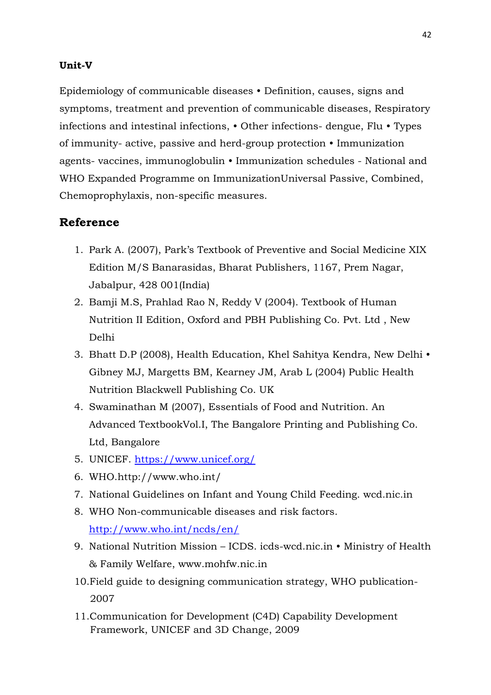### **Unit-V**

Epidemiology of communicable diseases • Definition, causes, signs and symptoms, treatment and prevention of communicable diseases, Respiratory infections and intestinal infections, • Other infections- dengue, Flu • Types of immunity- active, passive and herd-group protection • Immunization agents- vaccines, immunoglobulin • Immunization schedules - National and WHO Expanded Programme on ImmunizationUniversal Passive, Combined, Chemoprophylaxis, non-specific measures.

- 1. Park A. (2007), Park's Textbook of Preventive and Social Medicine XIX Edition M/S Banarasidas, Bharat Publishers, 1167, Prem Nagar, Jabalpur, 428 001(India)
- 2. Bamji M.S, Prahlad Rao N, Reddy V (2004). Textbook of Human Nutrition II Edition, Oxford and PBH Publishing Co. Pvt. Ltd , New Delhi
- 3. Bhatt D.P (2008), Health Education, Khel Sahitya Kendra, New Delhi Gibney MJ, Margetts BM, Kearney JM, Arab L (2004) Public Health Nutrition Blackwell Publishing Co. UK
- 4. Swaminathan M (2007), Essentials of Food and Nutrition. An Advanced TextbookVol.I, The Bangalore Printing and Publishing Co. Ltd, Bangalore
- 5. UNICEF.<https://www.unicef.org/>
- 6. WHO.http://www.who.int/
- 7. National Guidelines on Infant and Young Child Feeding. wcd.nic.in
- 8. WHO Non-communicable diseases and risk factors. <http://www.who.int/ncds/en/>
- 9. National Nutrition Mission ICDS. icds-wcd.nic.in Ministry of Health & Family Welfare, www.mohfw.nic.in
- 10.Field guide to designing communication strategy, WHO publication- 2007
- 11.Communication for Development (C4D) Capability Development Framework, UNICEF and 3D Change, 2009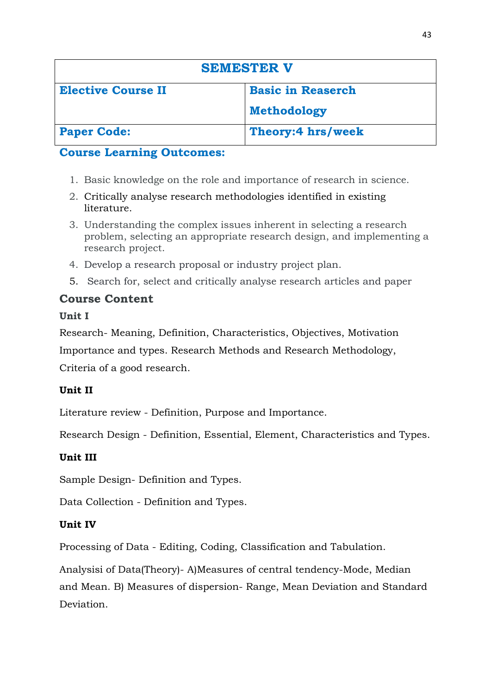| <b>SEMESTER V</b>         |                          |
|---------------------------|--------------------------|
| <b>Elective Course II</b> | <b>Basic in Reaserch</b> |
|                           | <b>Methodology</b>       |
| <b>Paper Code:</b>        | Theory:4 hrs/week        |

- 1. Basic knowledge on the role and importance of research in science.
- 2. Critically analyse research methodologies identified in existing literature.
- 3. Understanding the complex issues inherent in selecting a research problem, selecting an appropriate research design, and implementing a research project.
- 4. Develop a research proposal or industry project plan.
- 5. Search for, select and critically analyse research articles and paper

# **Course Content**

# **Unit I**

Research- Meaning, Definition, Characteristics, Objectives, Motivation Importance and types. Research Methods and Research Methodology, Criteria of a good research.

# **Unit II**

Literature review - Definition, Purpose and Importance.

Research Design - Definition, Essential, Element, Characteristics and Types.

# **Unit III**

Sample Design- Definition and Types.

Data Collection - Definition and Types.

# **Unit IV**

Processing of Data - Editing, Coding, Classification and Tabulation.

Analysisi of Data(Theory)- A)Measures of central tendency-Mode, Median and Mean. B) Measures of dispersion- Range, Mean Deviation and Standard Deviation.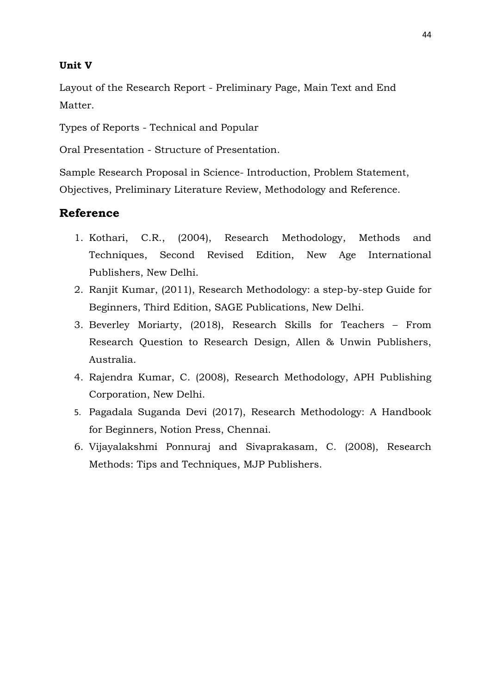### **Unit V**

Layout of the Research Report - Preliminary Page, Main Text and End Matter.

Types of Reports - Technical and Popular

Oral Presentation - Structure of Presentation.

Sample Research Proposal in Science- Introduction, Problem Statement, Objectives, Preliminary Literature Review, Methodology and Reference.

- 1. Kothari, C.R., (2004), Research Methodology, Methods and Techniques, Second Revised Edition, New Age International Publishers, New Delhi.
- 2. Ranjit Kumar, (2011), Research Methodology: a step-by-step Guide for Beginners, Third Edition, SAGE Publications, New Delhi.
- 3. Beverley Moriarty, (2018), Research Skills for Teachers From Research Question to Research Design, Allen & Unwin Publishers, Australia.
- 4. Rajendra Kumar, C. (2008), Research Methodology, APH Publishing Corporation, New Delhi.
- 5. Pagadala Suganda Devi (2017), Research Methodology: A Handbook for Beginners, Notion Press, Chennai.
- 6. Vijayalakshmi Ponnuraj and Sivaprakasam, C. (2008), Research Methods: Tips and Techniques, MJP Publishers.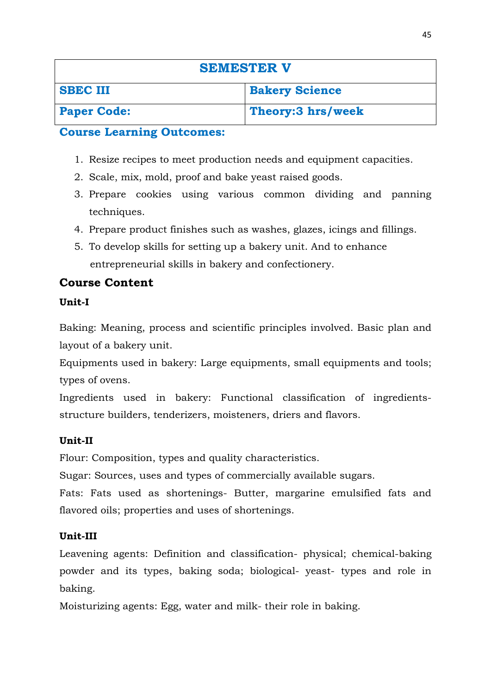| <b>SEMESTER V</b>  |                       |
|--------------------|-----------------------|
| <b>SBEC III</b>    | <b>Bakery Science</b> |
| <b>Paper Code:</b> | Theory: 3 hrs/week    |

- 1. Resize recipes to meet production needs and equipment capacities.
- 2. Scale, mix, mold, proof and bake yeast raised goods.
- 3. Prepare cookies using various common dividing and panning techniques.
- 4. Prepare product finishes such as washes, glazes, icings and fillings.
- 5. To develop skills for setting up a bakery unit. And to enhance entrepreneurial skills in bakery and confectionery.

# **Course Content**

### **Unit-I**

Baking: Meaning, process and scientific principles involved. Basic plan and layout of a bakery unit.

Equipments used in bakery: Large equipments, small equipments and tools; types of ovens.

Ingredients used in bakery: Functional classification of ingredientsstructure builders, tenderizers, moisteners, driers and flavors.

### **Unit-II**

Flour: Composition, types and quality characteristics.

Sugar: Sources, uses and types of commercially available sugars.

Fats: Fats used as shortenings- Butter, margarine emulsified fats and flavored oils; properties and uses of shortenings.

### **Unit-III**

Leavening agents: Definition and classification- physical; chemical-baking powder and its types, baking soda; biological- yeast- types and role in baking.

Moisturizing agents: Egg, water and milk- their role in baking.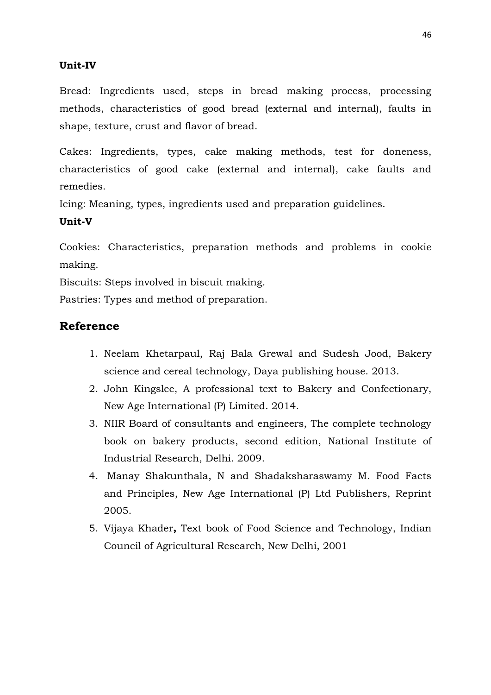### **Unit-IV**

Bread: Ingredients used, steps in bread making process, processing methods, characteristics of good bread (external and internal), faults in shape, texture, crust and flavor of bread.

Cakes: Ingredients, types, cake making methods, test for doneness, characteristics of good cake (external and internal), cake faults and remedies.

Icing: Meaning, types, ingredients used and preparation guidelines.

### **Unit-V**

Cookies: Characteristics, preparation methods and problems in cookie making.

Biscuits: Steps involved in biscuit making.

Pastries: Types and method of preparation.

- 1. Neelam Khetarpaul, Raj Bala Grewal and Sudesh Jood, Bakery science and cereal technology, Daya publishing house. 2013.
- 2. John Kingslee, A professional text to Bakery and Confectionary, New Age International (P) Limited. 2014.
- 3. NIIR Board of consultants and engineers, The complete technology book on bakery products, second edition, National Institute of Industrial Research, Delhi. 2009.
- 4. Manay Shakunthala, N and Shadaksharaswamy M. Food Facts and Principles, New Age International (P) Ltd Publishers, Reprint 2005.
- 5. Vijaya Khader**,** Text book of Food Science and Technology, Indian Council of Agricultural Research, New Delhi, 2001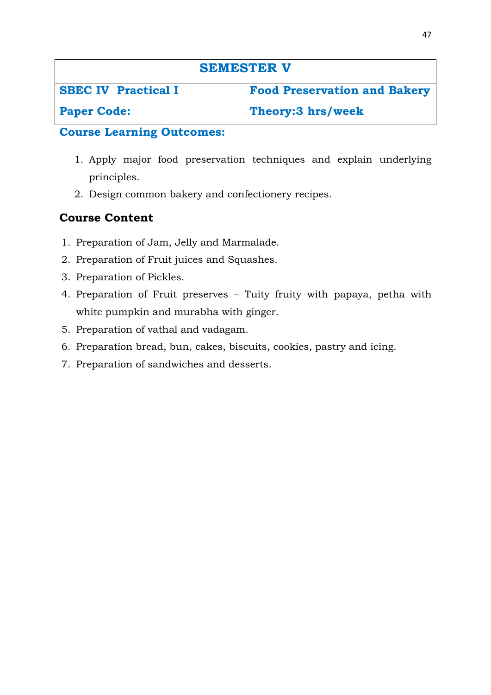| <b>SEMESTER V</b>          |                                     |
|----------------------------|-------------------------------------|
| <b>SBEC IV Practical I</b> | <b>Food Preservation and Bakery</b> |
| <b>Paper Code:</b>         | Theory:3 hrs/week                   |

- 1. Apply major food preservation techniques and explain underlying principles.
- 2. Design common bakery and confectionery recipes.

# **Course Content**

- 1. Preparation of Jam, Jelly and Marmalade.
- 2. Preparation of Fruit juices and Squashes.
- 3. Preparation of Pickles.
- 4. Preparation of Fruit preserves Tuity fruity with papaya, petha with white pumpkin and murabha with ginger.
- 5. Preparation of vathal and vadagam.
- 6. Preparation bread, bun, cakes, biscuits, cookies, pastry and icing.
- 7. Preparation of sandwiches and desserts.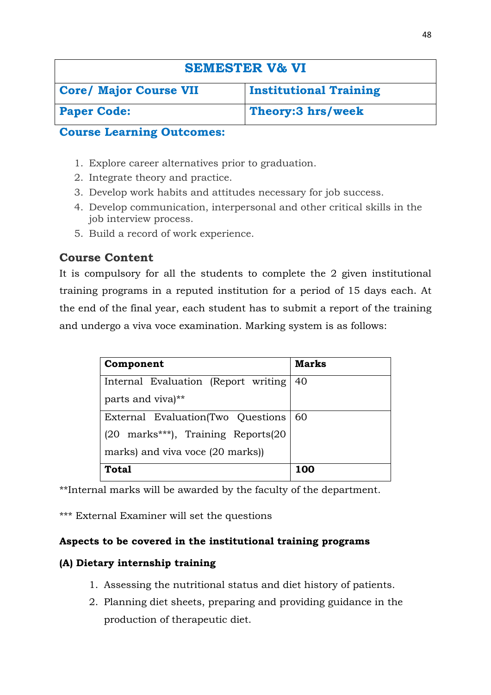# **SEMESTER V& VI**

| Core/ Major Course VII | <b>Institutional Training</b> |
|------------------------|-------------------------------|
| <b>Paper Code:</b>     | Theory: 3 hrs/week            |

### **Course Learning Outcomes:**

- 1. Explore career alternatives prior to graduation.
- 2. Integrate theory and practice.
- 3. Develop work habits and attitudes necessary for job success.
- 4. Develop communication, interpersonal and other critical skills in the job interview process.
- 5. Build a record of work experience.

# **Course Content**

It is compulsory for all the students to complete the 2 given institutional training programs in a reputed institution for a period of 15 days each. At the end of the final year, each student has to submit a report of the training and undergo a viva voce examination. Marking system is as follows:

| Component                             | <b>Marks</b> |
|---------------------------------------|--------------|
| Internal Evaluation (Report writing)  | 40           |
| parts and viva)**                     |              |
| External Evaluation (Two Questions 60 |              |
| (20 marks***), Training Reports(20    |              |
| marks) and viva voce (20 marks))      |              |
| Total                                 | 100          |

\*\*Internal marks will be awarded by the faculty of the department.

\*\*\* External Examiner will set the questions

### **Aspects to be covered in the institutional training programs**

### **(A) Dietary internship training**

- 1. Assessing the nutritional status and diet history of patients.
- 2. Planning diet sheets, preparing and providing guidance in the production of therapeutic diet.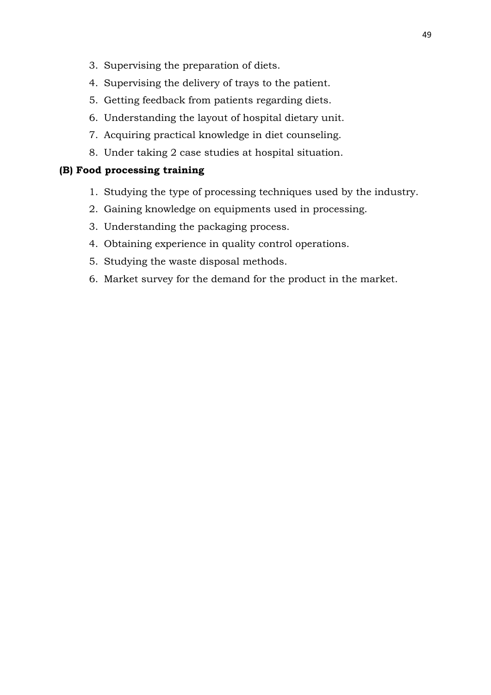- 3. Supervising the preparation of diets.
- 4. Supervising the delivery of trays to the patient.
- 5. Getting feedback from patients regarding diets.
- 6. Understanding the layout of hospital dietary unit.
- 7. Acquiring practical knowledge in diet counseling.
- 8. Under taking 2 case studies at hospital situation.

### **(B) Food processing training**

- 1. Studying the type of processing techniques used by the industry.
- 2. Gaining knowledge on equipments used in processing.
- 3. Understanding the packaging process.
- 4. Obtaining experience in quality control operations.
- 5. Studying the waste disposal methods.
- 6. Market survey for the demand for the product in the market.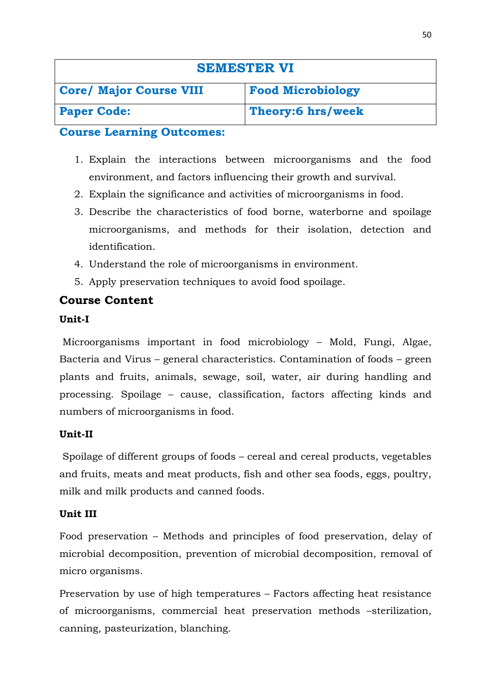| <b>SEMESTER VI</b>             |                          |
|--------------------------------|--------------------------|
| <b>Core/ Major Course VIII</b> | <b>Food Microbiology</b> |
| <b>Paper Code:</b>             | Theory:6 hrs/week        |

- 1. Explain the interactions between microorganisms and the food environment, and factors influencing their growth and survival.
- 2. Explain the significance and activities of microorganisms in food.
- 3. Describe the characteristics of food borne, waterborne and spoilage microorganisms, and methods for their isolation, detection and identification.
- 4. Understand the role of microorganisms in environment.
- 5. Apply preservation techniques to avoid food spoilage.

# **Course Content**

# **Unit-I**

Microorganisms important in food microbiology – Mold, Fungi, Algae, Bacteria and Virus – general characteristics. Contamination of foods – green plants and fruits, animals, sewage, soil, water, air during handling and processing. Spoilage – cause, classification, factors affecting kinds and numbers of microorganisms in food.

# **Unit-II**

Spoilage of different groups of foods – cereal and cereal products, vegetables and fruits, meats and meat products, fish and other sea foods, eggs, poultry, milk and milk products and canned foods.

# **Unit III**

Food preservation – Methods and principles of food preservation, delay of microbial decomposition, prevention of microbial decomposition, removal of micro organisms.

Preservation by use of high temperatures – Factors affecting heat resistance of microorganisms, commercial heat preservation methods –sterilization, canning, pasteurization, blanching.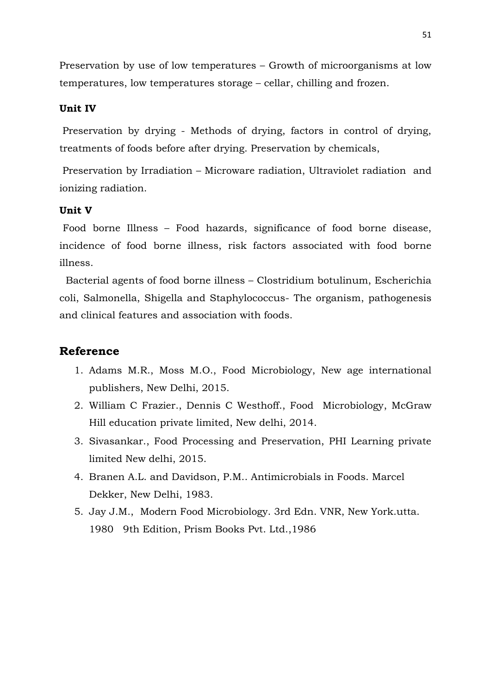Preservation by use of low temperatures – Growth of microorganisms at low temperatures, low temperatures storage – cellar, chilling and frozen.

### **Unit IV**

Preservation by drying - Methods of drying, factors in control of drying, treatments of foods before after drying. Preservation by chemicals,

Preservation by Irradiation – Microware radiation, Ultraviolet radiation and ionizing radiation.

#### **Unit V**

Food borne Illness – Food hazards, significance of food borne disease, incidence of food borne illness, risk factors associated with food borne illness.

 Bacterial agents of food borne illness – Clostridium botulinum, Escherichia coli, Salmonella, Shigella and Staphylococcus- The organism, pathogenesis and clinical features and association with foods.

- 1. Adams M.R., Moss M.O., Food Microbiology, New age international publishers, New Delhi, 2015.
- 2. William C Frazier., Dennis C Westhoff., Food Microbiology, McGraw Hill education private limited, New delhi, 2014.
- 3. Sivasankar., Food Processing and Preservation, PHI Learning private limited New delhi, 2015.
- 4. Branen A.L. and Davidson, P.M.. Antimicrobials in Foods. Marcel Dekker, New Delhi, 1983.
- 5. Jay J.M., Modern Food Microbiology. 3rd Edn. VNR, New York.utta. 1980 9th Edition, Prism Books Pvt. Ltd.,1986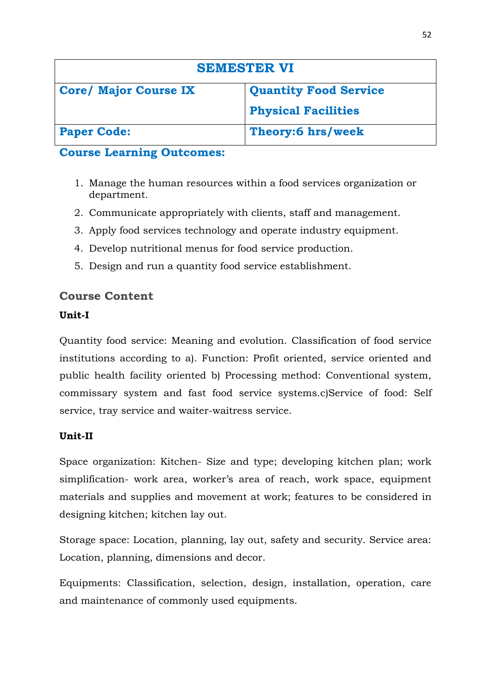| <b>SEMESTER VI</b>           |                              |
|------------------------------|------------------------------|
| <b>Core/ Major Course IX</b> | <b>Quantity Food Service</b> |
|                              | <b>Physical Facilities</b>   |
| <b>Paper Code:</b>           | Theory:6 hrs/week            |

- 1. Manage the human resources within a food services organization or department.
- 2. Communicate appropriately with clients, staff and management.
- 3. Apply food services technology and operate industry equipment.
- 4. Develop nutritional menus for food service production.
- 5. Design and run a quantity food service establishment.

# **Course Content**

# **Unit-I**

Quantity food service: Meaning and evolution. Classification of food service institutions according to a). Function: Profit oriented, service oriented and public health facility oriented b) Processing method: Conventional system, commissary system and fast food service systems.c)Service of food: Self service, tray service and waiter-waitress service.

# **Unit-II**

Space organization: Kitchen- Size and type; developing kitchen plan; work simplification- work area, worker's area of reach, work space, equipment materials and supplies and movement at work; features to be considered in designing kitchen; kitchen lay out.

Storage space: Location, planning, lay out, safety and security. Service area: Location, planning, dimensions and decor.

Equipments: Classification, selection, design, installation, operation, care and maintenance of commonly used equipments.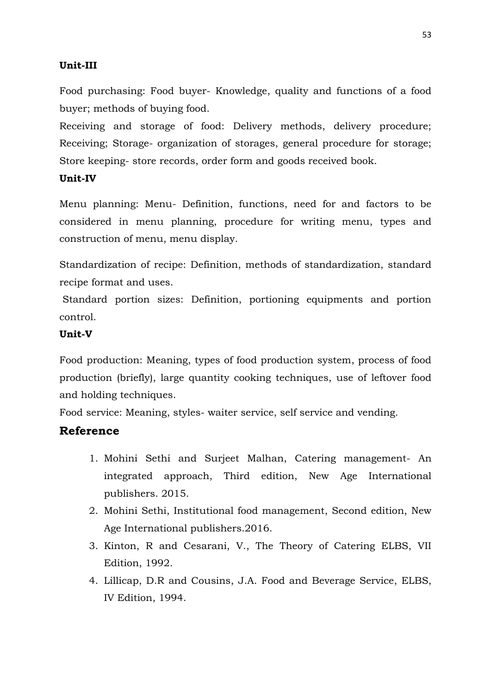### **Unit-III**

Food purchasing: Food buyer- Knowledge, quality and functions of a food buyer; methods of buying food.

Receiving and storage of food: Delivery methods, delivery procedure; Receiving; Storage- organization of storages, general procedure for storage; Store keeping- store records, order form and goods received book.

### **Unit-IV**

Menu planning: Menu- Definition, functions, need for and factors to be considered in menu planning, procedure for writing menu, types and construction of menu, menu display.

Standardization of recipe: Definition, methods of standardization, standard recipe format and uses.

Standard portion sizes: Definition, portioning equipments and portion control.

### **Unit-V**

Food production: Meaning, types of food production system, process of food production (briefly), large quantity cooking techniques, use of leftover food and holding techniques.

Food service: Meaning, styles- waiter service, self service and vending.

- 1. Mohini Sethi and Surjeet Malhan, Catering management- An integrated approach, Third edition, New Age International publishers. 2015.
- 2. Mohini Sethi, Institutional food management, Second edition, New Age International publishers.2016.
- 3. Kinton, R and Cesarani, V., The Theory of Catering ELBS, VII Edition, 1992.
- 4. Lillicap, D.R and Cousins, J.A. Food and Beverage Service, ELBS, IV Edition, 1994.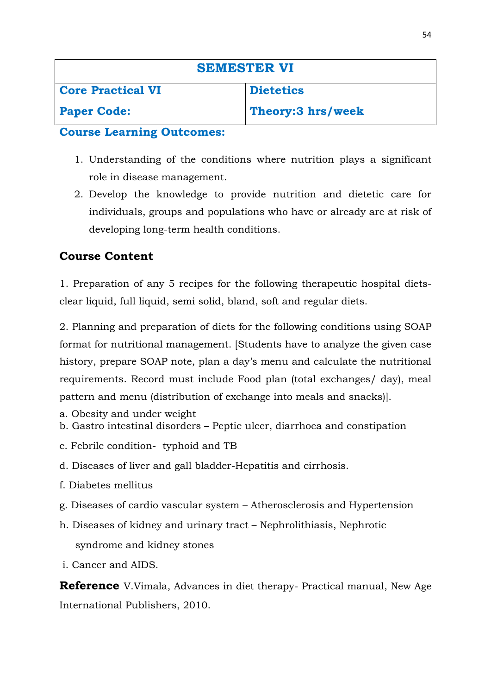| <b>SEMESTER VI</b>       |                    |
|--------------------------|--------------------|
| <b>Core Practical VI</b> | <b>Dietetics</b>   |
| <b>Paper Code:</b>       | Theory: 3 hrs/week |

- 1. Understanding of the conditions where nutrition plays a significant role in disease management.
- 2. Develop the knowledge to provide nutrition and dietetic care for individuals, groups and populations who have or already are at risk of developing long-term health conditions.

# **Course Content**

1. Preparation of any 5 recipes for the following therapeutic hospital dietsclear liquid, full liquid, semi solid, bland, soft and regular diets.

2. Planning and preparation of diets for the following conditions using SOAP format for nutritional management. [Students have to analyze the given case history, prepare SOAP note, plan a day's menu and calculate the nutritional requirements. Record must include Food plan (total exchanges/ day), meal pattern and menu (distribution of exchange into meals and snacks)].

- a. Obesity and under weight
- b. Gastro intestinal disorders Peptic ulcer, diarrhoea and constipation
- c. Febrile condition- typhoid and TB
- d. Diseases of liver and gall bladder-Hepatitis and cirrhosis.
- f. Diabetes mellitus
- g. Diseases of cardio vascular system Atherosclerosis and Hypertension
- h. Diseases of kidney and urinary tract Nephrolithiasis, Nephrotic syndrome and kidney stones
- i. Cancer and AIDS.

**Reference** V.Vimala, Advances in diet therapy- Practical manual, New Age International Publishers, 2010.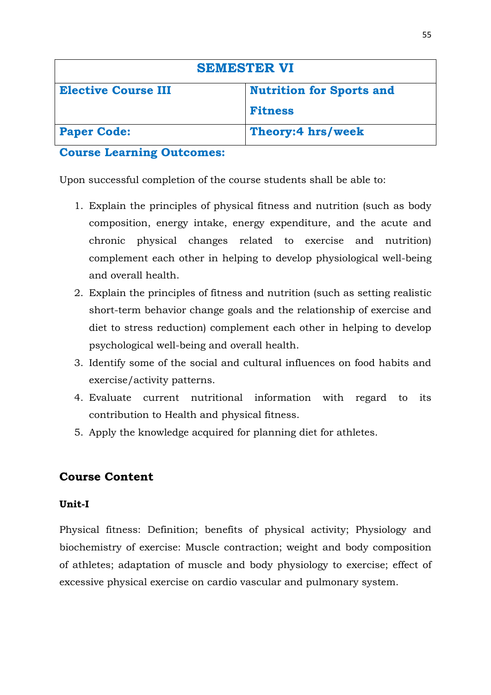| <b>SEMESTER VI</b>         |                                 |
|----------------------------|---------------------------------|
| <b>Elective Course III</b> | <b>Nutrition for Sports and</b> |
|                            | <b>Fitness</b>                  |
| <b>Paper Code:</b>         | Theory:4 hrs/week               |

Upon successful completion of the course students shall be able to:

- 1. Explain the principles of physical fitness and nutrition (such as body composition, energy intake, energy expenditure, and the acute and chronic physical changes related to exercise and nutrition) complement each other in helping to develop physiological well-being and overall health.
- 2. Explain the principles of fitness and nutrition (such as setting realistic short-term behavior change goals and the relationship of exercise and diet to stress reduction) complement each other in helping to develop psychological well-being and overall health.
- 3. Identify some of the social and cultural influences on food habits and exercise/activity patterns.
- 4. Evaluate current nutritional information with regard to its contribution to Health and physical fitness.
- 5. Apply the knowledge acquired for planning diet for athletes.

# **Course Content**

# **Unit-I**

Physical fitness: Definition; benefits of physical activity; Physiology and biochemistry of exercise: Muscle contraction; weight and body composition of athletes; adaptation of muscle and body physiology to exercise; effect of excessive physical exercise on cardio vascular and pulmonary system.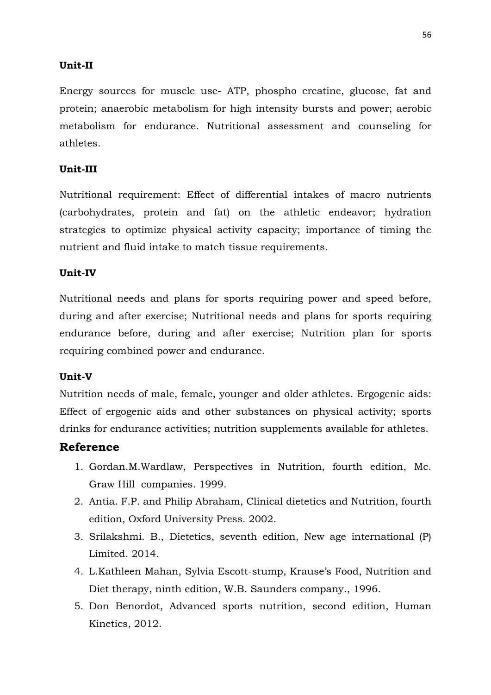### **Unit-II**

Energy sources for muscle use- ATP, phospho creatine, glucose, fat and protein; anaerobic metabolism for high intensity bursts and power; aerobic metabolism for endurance. Nutritional assessment and counseling for athletes.

### **Unit-III**

Nutritional requirement: Effect of differential intakes of macro nutrients (carbohydrates, protein and fat) on the athletic endeavor; hydration strategies to optimize physical activity capacity; importance of timing the nutrient and fluid intake to match tissue requirements.

### **Unit-IV**

Nutritional needs and plans for sports requiring power and speed before, during and after exercise; Nutritional needs and plans for sports requiring endurance before, during and after exercise; Nutrition plan for sports requiring combined power and endurance.

### **Unit-V**

Nutrition needs of male, female, younger and older athletes. Ergogenic aids: Effect of ergogenic aids and other substances on physical activity; sports drinks for endurance activities; nutrition supplements available for athletes.

- 1. Gordan.M.Wardlaw, Perspectives in Nutrition, fourth edition, Mc. Graw Hill companies. 1999.
- 2. Antia. F.P. and Philip Abraham, Clinical dietetics and Nutrition, fourth edition, Oxford University Press. 2002.
- 3. Srilakshmi. B., Dietetics, seventh edition, New age international (P) Limited. 2014.
- 4. L.Kathleen Mahan, Sylvia Escott-stump, Krause's Food, Nutrition and Diet therapy, ninth edition, W.B. Saunders company., 1996.
- 5. Don Benordot, Advanced sports nutrition, second edition, Human Kinetics, 2012.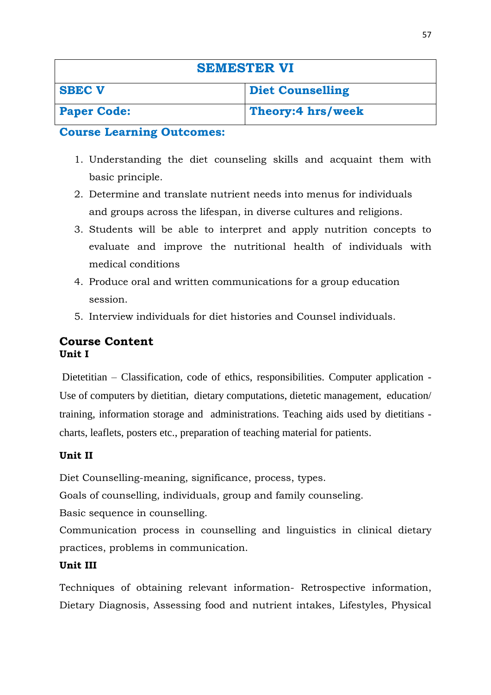| <b>SEMESTER VI</b> |                         |
|--------------------|-------------------------|
| <b>SBEC V</b>      | <b>Diet Counselling</b> |
| <b>Paper Code:</b> | Theory:4 hrs/week       |

- 1. Understanding the diet counseling skills and acquaint them with basic principle.
- 2. Determine and translate nutrient needs into menus for individuals and groups across the lifespan, in diverse cultures and religions.
- 3. Students will be able to interpret and apply nutrition concepts to evaluate and improve the nutritional health of individuals with medical conditions
- 4. Produce oral and written communications for a group education session.
- 5. Interview individuals for diet histories and Counsel individuals.

### **Course Content Unit I**

Dietetitian – Classification, code of ethics, responsibilities. Computer application - Use of computers by dietitian, dietary computations, dietetic management, education/ training, information storage and administrations. Teaching aids used by dietitians charts, leaflets, posters etc., preparation of teaching material for patients.

# **Unit II**

Diet Counselling-meaning, significance, process, types.

Goals of counselling, individuals, group and family counseling.

Basic sequence in counselling.

Communication process in counselling and linguistics in clinical dietary practices, problems in communication.

# **Unit III**

Techniques of obtaining relevant information- Retrospective information, Dietary Diagnosis, Assessing food and nutrient intakes, Lifestyles, Physical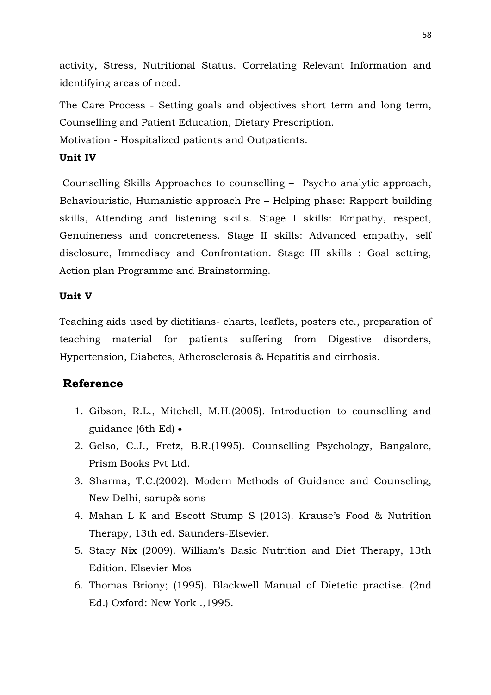activity, Stress, Nutritional Status. Correlating Relevant Information and identifying areas of need.

The Care Process - Setting goals and objectives short term and long term, Counselling and Patient Education, Dietary Prescription.

Motivation - Hospitalized patients and Outpatients.

### **Unit IV**

Counselling Skills Approaches to counselling – Psycho analytic approach, Behaviouristic, Humanistic approach Pre – Helping phase: Rapport building skills, Attending and listening skills. Stage I skills: Empathy, respect, Genuineness and concreteness. Stage II skills: Advanced empathy, self disclosure, Immediacy and Confrontation. Stage III skills : Goal setting, Action plan Programme and Brainstorming.

### **Unit V**

Teaching aids used by dietitians- charts, leaflets, posters etc., preparation of teaching material for patients suffering from Digestive disorders, Hypertension, Diabetes, Atherosclerosis & Hepatitis and cirrhosis.

- 1. Gibson, R.L., Mitchell, M.H.(2005). Introduction to counselling and guidance (6th Ed) •
- 2. Gelso, C.J., Fretz, B.R.(1995). Counselling Psychology, Bangalore, Prism Books Pvt Ltd.
- 3. Sharma, T.C.(2002). Modern Methods of Guidance and Counseling, New Delhi, sarup& sons
- 4. Mahan L K and Escott Stump S (2013). Krause's Food & Nutrition Therapy, 13th ed. Saunders-Elsevier.
- 5. Stacy Nix (2009). William's Basic Nutrition and Diet Therapy, 13th Edition. Elsevier Mos
- 6. Thomas Briony; (1995). Blackwell Manual of Dietetic practise. (2nd Ed.) Oxford: New York .,1995.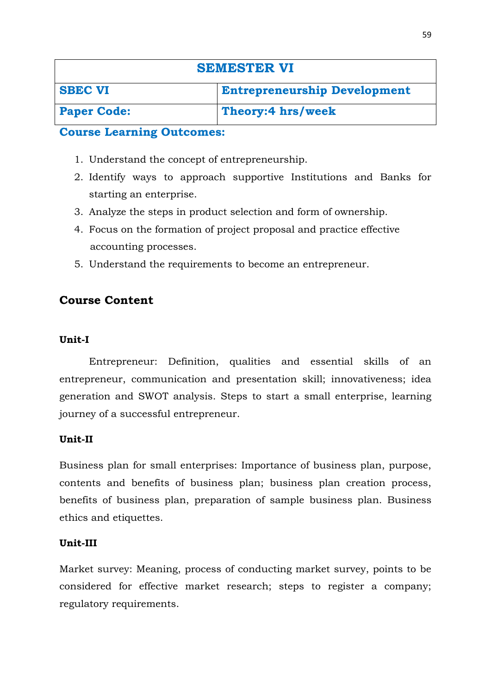| <b>SEMESTER VI</b> |                                     |
|--------------------|-------------------------------------|
| <b>SBEC VI</b>     | <b>Entrepreneurship Development</b> |
| <b>Paper Code:</b> | Theory:4 hrs/week                   |

- 1. Understand the concept of entrepreneurship.
- 2. Identify ways to approach supportive Institutions and Banks for starting an enterprise.
- 3. Analyze the steps in product selection and form of ownership.
- 4. Focus on the formation of project proposal and practice effective accounting processes.
- 5. Understand the requirements to become an entrepreneur.

### **Course Content**

### **Unit-I**

Entrepreneur: Definition, qualities and essential skills of an entrepreneur, communication and presentation skill; innovativeness; idea generation and SWOT analysis. Steps to start a small enterprise, learning journey of a successful entrepreneur.

### **Unit-II**

Business plan for small enterprises: Importance of business plan, purpose, contents and benefits of business plan; business plan creation process, benefits of business plan, preparation of sample business plan. Business ethics and etiquettes.

### **Unit-III**

Market survey: Meaning, process of conducting market survey, points to be considered for effective market research; steps to register a company; regulatory requirements.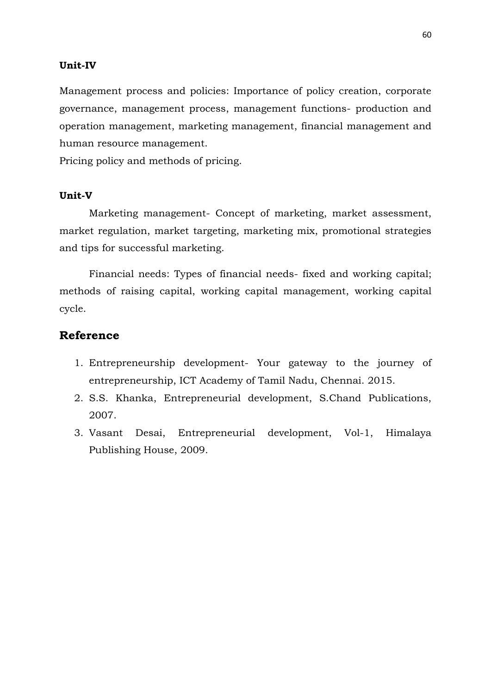### **Unit-IV**

Management process and policies: Importance of policy creation, corporate governance, management process, management functions- production and operation management, marketing management, financial management and human resource management.

Pricing policy and methods of pricing.

### **Unit-V**

Marketing management- Concept of marketing, market assessment, market regulation, market targeting, marketing mix, promotional strategies and tips for successful marketing.

Financial needs: Types of financial needs- fixed and working capital; methods of raising capital, working capital management, working capital cycle.

- 1. Entrepreneurship development- Your gateway to the journey of entrepreneurship, ICT Academy of Tamil Nadu, Chennai. 2015.
- 2. S.S. Khanka, Entrepreneurial development, S.Chand Publications, 2007.
- 3. Vasant Desai, Entrepreneurial development, Vol-1, Himalaya Publishing House, 2009.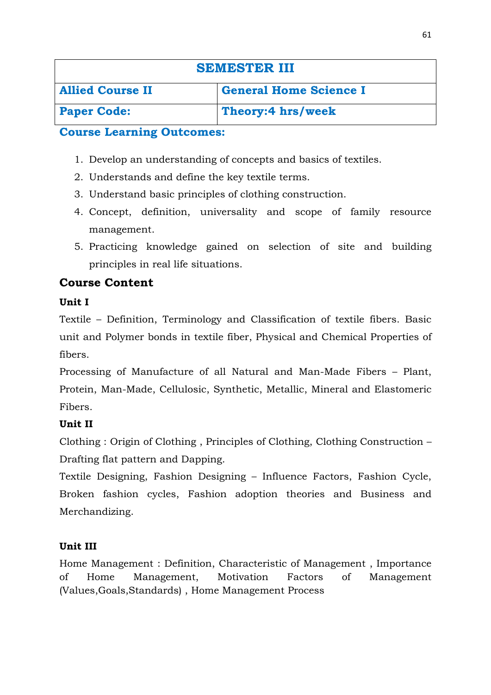| <b>SEMESTER III</b>     |                               |
|-------------------------|-------------------------------|
| <b>Allied Course II</b> | <b>General Home Science I</b> |
| <b>Paper Code:</b>      | Theory:4 hrs/week             |

- 1. Develop an understanding of concepts and basics of textiles.
- 2. Understands and define the key textile terms.
- 3. Understand basic principles of clothing construction.
- 4. Concept, definition, universality and scope of family resource management.
- 5. Practicing knowledge gained on selection of site and building principles in real life situations.

# **Course Content**

# **Unit I**

Textile – Definition, Terminology and Classification of textile fibers. Basic unit and Polymer bonds in textile fiber, Physical and Chemical Properties of fibers.

Processing of Manufacture of all Natural and Man-Made Fibers – Plant, Protein, Man-Made, Cellulosic, Synthetic, Metallic, Mineral and Elastomeric Fibers.

# **Unit II**

Clothing : Origin of Clothing , Principles of Clothing, Clothing Construction – Drafting flat pattern and Dapping.

Textile Designing, Fashion Designing – Influence Factors, Fashion Cycle, Broken fashion cycles, Fashion adoption theories and Business and Merchandizing.

# **Unit III**

Home Management : Definition, Characteristic of Management , Importance of Home Management, Motivation Factors of Management (Values,Goals,Standards) , Home Management Process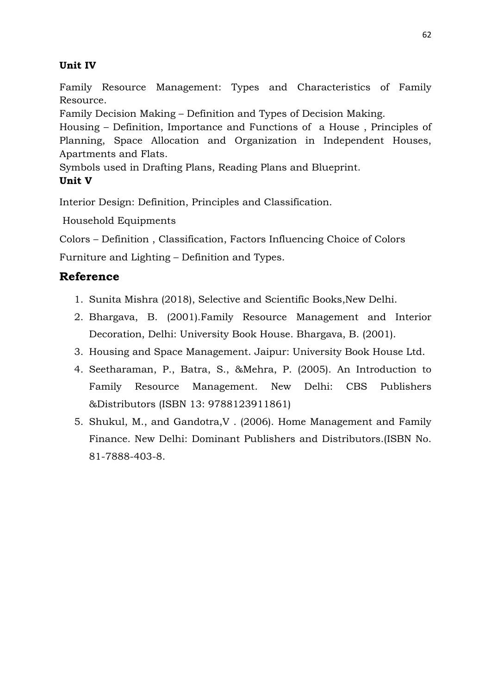# **Unit IV**

Family Resource Management: Types and Characteristics of Family Resource.

Family Decision Making – Definition and Types of Decision Making.

Housing – Definition, Importance and Functions of a House , Principles of Planning, Space Allocation and Organization in Independent Houses, Apartments and Flats.

Symbols used in Drafting Plans, Reading Plans and Blueprint.

# **Unit V**

Interior Design: Definition, Principles and Classification.

Household Equipments

Colors – Definition , Classification, Factors Influencing Choice of Colors

Furniture and Lighting – Definition and Types.

- 1. Sunita Mishra (2018), Selective and Scientific Books,New Delhi.
- 2. Bhargava, B. (2001).Family Resource Management and Interior Decoration, Delhi: University Book House. Bhargava, B. (2001).
- 3. Housing and Space Management. Jaipur: University Book House Ltd.
- 4. Seetharaman, P., Batra, S., &Mehra, P. (2005). An Introduction to Family Resource Management. New Delhi: CBS Publishers &Distributors (ISBN 13: 9788123911861)
- 5. Shukul, M., and Gandotra,V . (2006). Home Management and Family Finance. New Delhi: Dominant Publishers and Distributors.(ISBN No. 81-7888-403-8.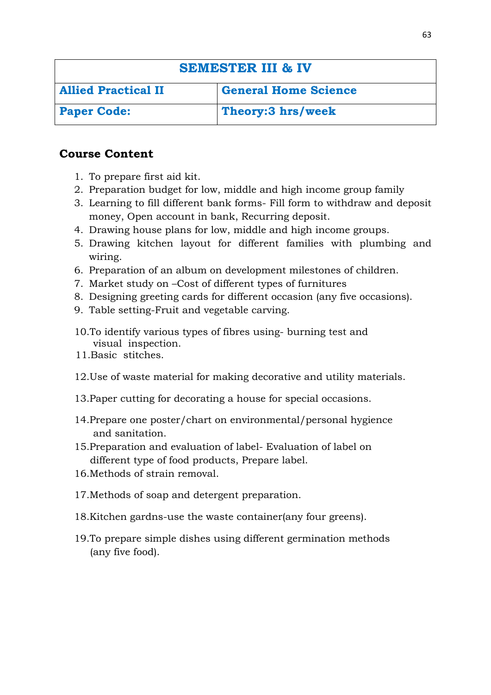| <b>SEMESTER III &amp; IV</b> |                             |  |
|------------------------------|-----------------------------|--|
| <b>Allied Practical II</b>   | <b>General Home Science</b> |  |
| <b>Paper Code:</b>           | Theory: 3 hrs/week          |  |

# **Course Content**

- 1. To prepare first aid kit.
- 2. Preparation budget for low, middle and high income group family
- 3. Learning to fill different bank forms- Fill form to withdraw and deposit money, Open account in bank, Recurring deposit.
- 4. Drawing house plans for low, middle and high income groups.
- 5. Drawing kitchen layout for different families with plumbing and wiring.
- 6. Preparation of an album on development milestones of children.
- 7. Market study on –Cost of different types of furnitures
- 8. Designing greeting cards for different occasion (any five occasions).
- 9. Table setting-Fruit and vegetable carving.
- 10.To identify various types of fibres using- burning test and visual inspection.
- 11.Basic stitches.
- 12.Use of waste material for making decorative and utility materials.
- 13.Paper cutting for decorating a house for special occasions.
- 14.Prepare one poster/chart on environmental/personal hygience and sanitation.
- 15.Preparation and evaluation of label- Evaluation of label on different type of food products, Prepare label.
- 16.Methods of strain removal.
- 17.Methods of soap and detergent preparation.
- 18.Kitchen gardns-use the waste container(any four greens).
- 19.To prepare simple dishes using different germination methods (any five food).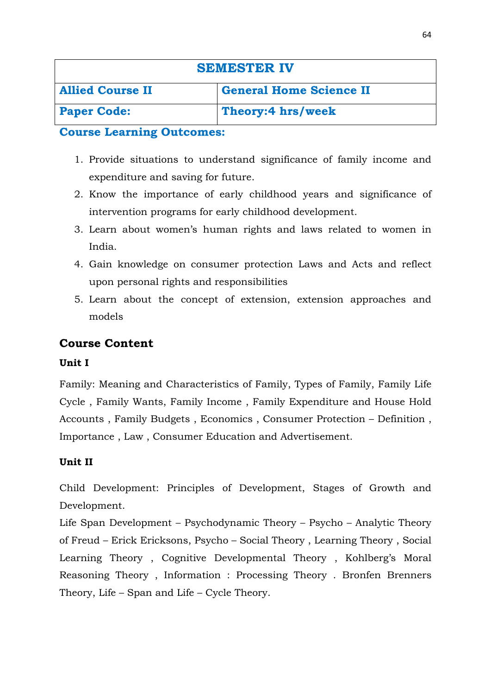| <b>SEMESTER IV</b>      |                                |
|-------------------------|--------------------------------|
| <b>Allied Course II</b> | <b>General Home Science II</b> |
| <b>Paper Code:</b>      | Theory:4 hrs/week              |

- 1. Provide situations to understand significance of family income and expenditure and saving for future.
- 2. Know the importance of early childhood years and significance of intervention programs for early childhood development.
- 3. Learn about women's human rights and laws related to women in India.
- 4. Gain knowledge on consumer protection Laws and Acts and reflect upon personal rights and responsibilities
- 5. Learn about the concept of extension, extension approaches and models

# **Course Content**

### **Unit I**

Family: Meaning and Characteristics of Family, Types of Family, Family Life Cycle , Family Wants, Family Income , Family Expenditure and House Hold Accounts , Family Budgets , Economics , Consumer Protection – Definition , Importance , Law , Consumer Education and Advertisement.

### **Unit II**

Child Development: Principles of Development, Stages of Growth and Development.

Life Span Development – Psychodynamic Theory – Psycho – Analytic Theory of Freud – Erick Ericksons, Psycho – Social Theory , Learning Theory , Social Learning Theory , Cognitive Developmental Theory , Kohlberg's Moral Reasoning Theory , Information : Processing Theory . Bronfen Brenners Theory, Life – Span and Life – Cycle Theory.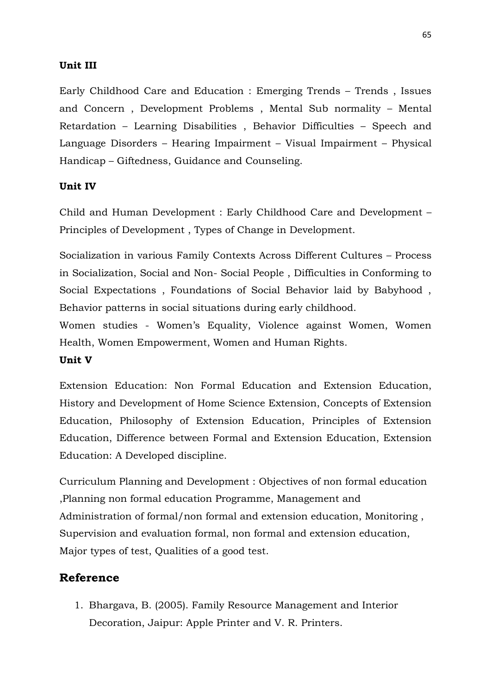### **Unit III**

Early Childhood Care and Education : Emerging Trends – Trends , Issues and Concern , Development Problems , Mental Sub normality – Mental Retardation – Learning Disabilities , Behavior Difficulties – Speech and Language Disorders – Hearing Impairment – Visual Impairment – Physical Handicap – Giftedness, Guidance and Counseling.

### **Unit IV**

Child and Human Development : Early Childhood Care and Development – Principles of Development , Types of Change in Development.

Socialization in various Family Contexts Across Different Cultures – Process in Socialization, Social and Non- Social People , Difficulties in Conforming to Social Expectations , Foundations of Social Behavior laid by Babyhood , Behavior patterns in social situations during early childhood.

Women studies - Women's Equality, Violence against Women, Women Health, Women Empowerment, Women and Human Rights.

### **Unit V**

Extension Education: Non Formal Education and Extension Education, History and Development of Home Science Extension, Concepts of Extension Education, Philosophy of Extension Education, Principles of Extension Education, Difference between Formal and Extension Education, Extension Education: A Developed discipline.

Curriculum Planning and Development : Objectives of non formal education ,Planning non formal education Programme, Management and Administration of formal/non formal and extension education, Monitoring , Supervision and evaluation formal, non formal and extension education, Major types of test, Qualities of a good test.

### **Reference**

1. Bhargava, B. (2005). Family Resource Management and Interior Decoration, Jaipur: Apple Printer and V. R. Printers.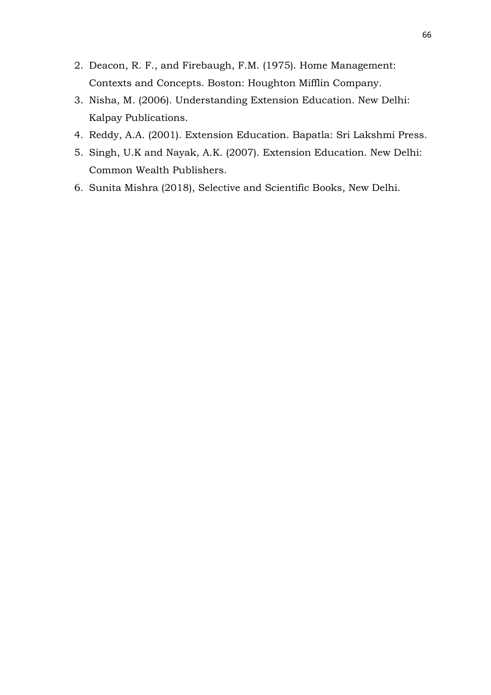- 2. Deacon, R. F., and Firebaugh, F.M. (1975). Home Management: Contexts and Concepts. Boston: Houghton Mifflin Company.
- 3. Nisha, M. (2006). Understanding Extension Education. New Delhi: Kalpay Publications.
- 4. Reddy, A.A. (2001). Extension Education. Bapatla: Sri Lakshmi Press.
- 5. Singh, U.K and Nayak, A.K. (2007). Extension Education. New Delhi: Common Wealth Publishers.
- 6. Sunita Mishra (2018), Selective and Scientific Books, New Delhi.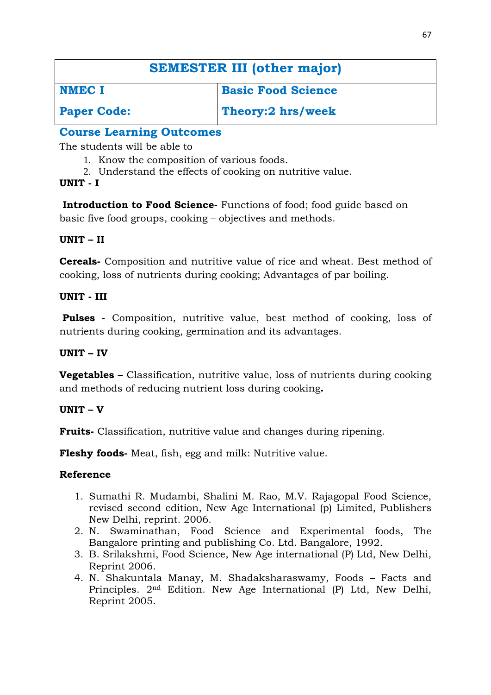| <b>SEMESTER III (other major)</b> |                           |
|-----------------------------------|---------------------------|
| <b>NMEC I</b>                     | <b>Basic Food Science</b> |
| <b>Paper Code:</b>                | Theory:2 hrs/week         |

The students will be able to

- 1. Know the composition of various foods.
- 2. Understand the effects of cooking on nutritive value.

# **UNIT - I**

**Introduction to Food Science-** Functions of food; food guide based on basic five food groups, cooking – objectives and methods.

# **UNIT – II**

**Cereals-** Composition and nutritive value of rice and wheat. Best method of cooking, loss of nutrients during cooking; Advantages of par boiling.

# **UNIT - III**

**Pulses** - Composition, nutritive value, best method of cooking, loss of nutrients during cooking, germination and its advantages.

# **UNIT – IV**

**Vegetables –** Classification, nutritive value, loss of nutrients during cooking and methods of reducing nutrient loss during cooking**.**

# **UNIT – V**

**Fruits-** Classification, nutritive value and changes during ripening.

**Fleshy foods-** Meat, fish, egg and milk: Nutritive value.

- 1. Sumathi R. Mudambi, Shalini M. Rao, M.V. Rajagopal Food Science, revised second edition, New Age International (p) Limited, Publishers New Delhi, reprint. 2006.
- 2. N. Swaminathan, Food Science and Experimental foods, The Bangalore printing and publishing Co. Ltd. Bangalore, 1992.
- 3. B. Srilakshmi, Food Science, New Age international (P) Ltd, New Delhi, Reprint 2006.
- 4. N. Shakuntala Manay, M. Shadaksharaswamy, Foods Facts and Principles. 2nd Edition. New Age International (P) Ltd, New Delhi, Reprint 2005.